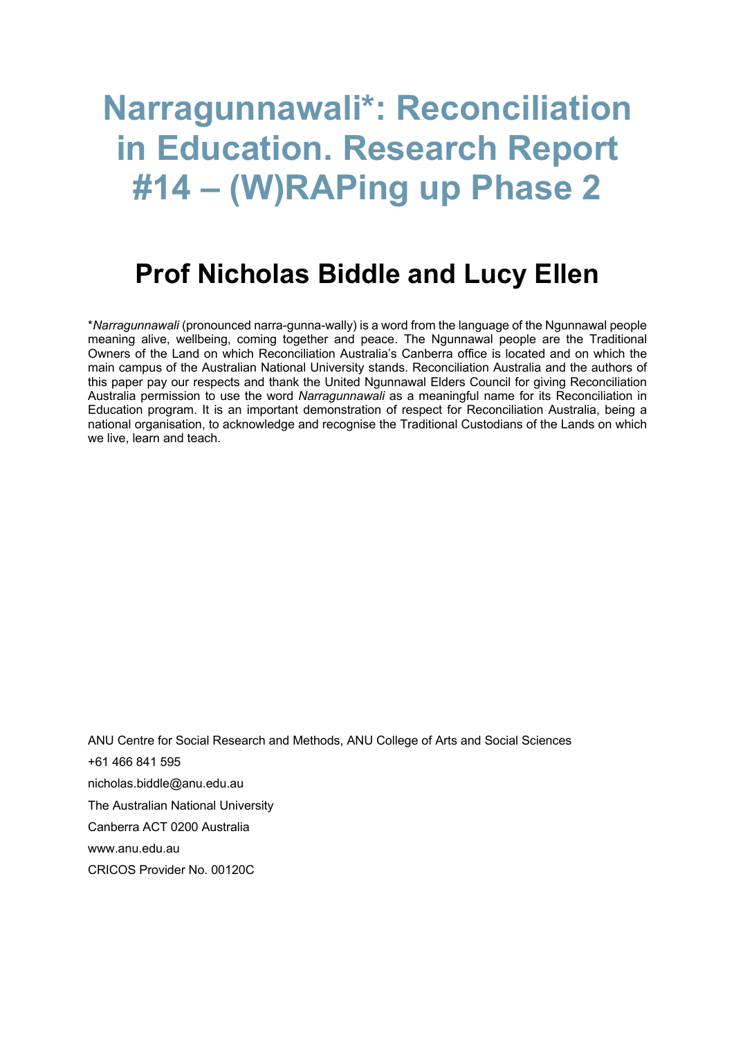# **Narragunnawali\*: Reconciliation in Education. Research Report #14 – (W)RAPing up Phase 2**

## **Prof Nicholas Biddle and Lucy Ellen**

\**Narragunnawali* (pronounced narra-gunna-wally) is a word from the language of the Ngunnawal people meaning alive, wellbeing, coming together and peace. The Ngunnawal people are the Traditional Owners of the Land on which Reconciliation Australia's Canberra office is located and on which the main campus of the Australian National University stands. Reconciliation Australia and the authors of this paper pay our respects and thank the United Ngunnawal Elders Council for giving Reconciliation Australia permission to use the word *Narragunnawali* as a meaningful name for its Reconciliation in Education program. It is an important demonstration of respect for Reconciliation Australia, being a national organisation, to acknowledge and recognise the Traditional Custodians of the Lands on which we live, learn and teach.

ANU Centre for Social Research and Methods, ANU College of Arts and Social Sciences +61 466 841 595 nicholas.biddle@anu.edu.au The Australian National University Canberra ACT 0200 Australia www.anu.edu.au CRICOS Provider No. 00120C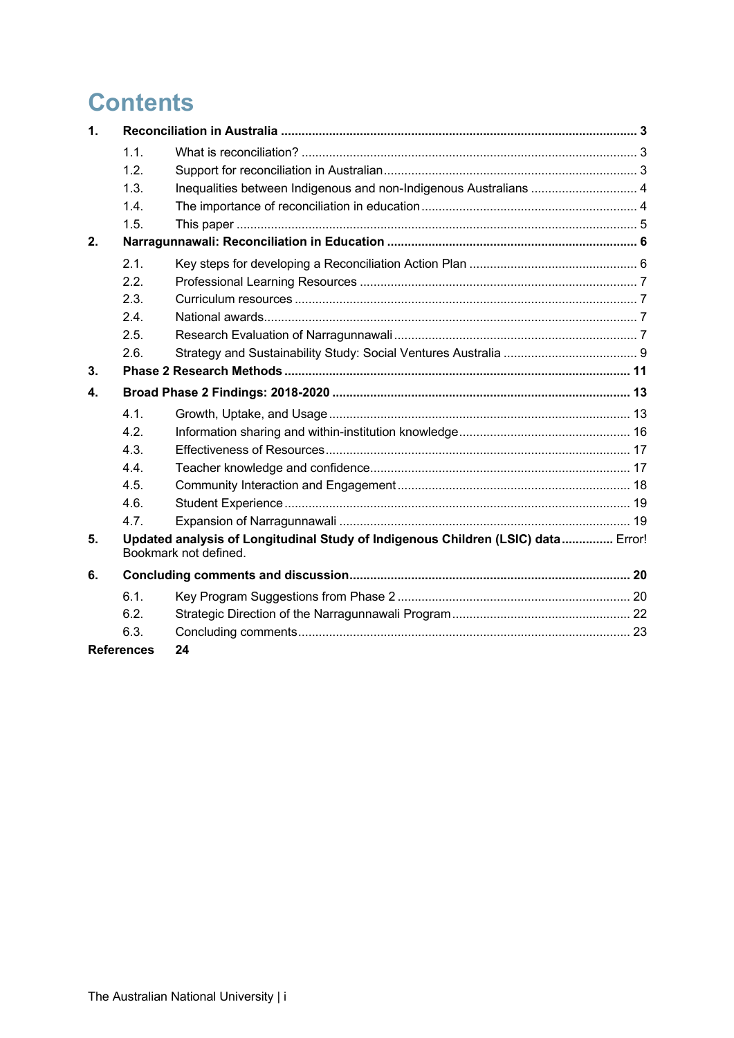## **Contents**

| $\mathbf{1}$      |                                                                                                           |                                                                   |  |  |
|-------------------|-----------------------------------------------------------------------------------------------------------|-------------------------------------------------------------------|--|--|
|                   | 1.1.                                                                                                      |                                                                   |  |  |
|                   | 1.2.                                                                                                      |                                                                   |  |  |
|                   | 1.3.                                                                                                      | Inequalities between Indigenous and non-Indigenous Australians  4 |  |  |
|                   | 1.4.                                                                                                      |                                                                   |  |  |
|                   | 1.5.                                                                                                      |                                                                   |  |  |
| 2.                |                                                                                                           |                                                                   |  |  |
|                   | 2.1.                                                                                                      |                                                                   |  |  |
|                   | 2.2.                                                                                                      |                                                                   |  |  |
|                   | 2.3.                                                                                                      |                                                                   |  |  |
|                   | 2.4.                                                                                                      |                                                                   |  |  |
|                   | 2.5.                                                                                                      |                                                                   |  |  |
|                   | 2.6.                                                                                                      |                                                                   |  |  |
| 3 <sub>1</sub>    |                                                                                                           |                                                                   |  |  |
| 4.                |                                                                                                           |                                                                   |  |  |
|                   | 4.1.                                                                                                      |                                                                   |  |  |
|                   | 4.2.                                                                                                      |                                                                   |  |  |
|                   | 4.3.                                                                                                      |                                                                   |  |  |
|                   | 4.4.                                                                                                      |                                                                   |  |  |
|                   | 4.5.                                                                                                      |                                                                   |  |  |
|                   | 4.6.                                                                                                      |                                                                   |  |  |
|                   | 4.7.                                                                                                      |                                                                   |  |  |
| 5.                | Updated analysis of Longitudinal Study of Indigenous Children (LSIC) data Error!<br>Bookmark not defined. |                                                                   |  |  |
| 6.                |                                                                                                           |                                                                   |  |  |
|                   | 6.1.                                                                                                      |                                                                   |  |  |
|                   | 6.2.                                                                                                      |                                                                   |  |  |
|                   | 6.3.                                                                                                      |                                                                   |  |  |
| <b>References</b> |                                                                                                           | 24                                                                |  |  |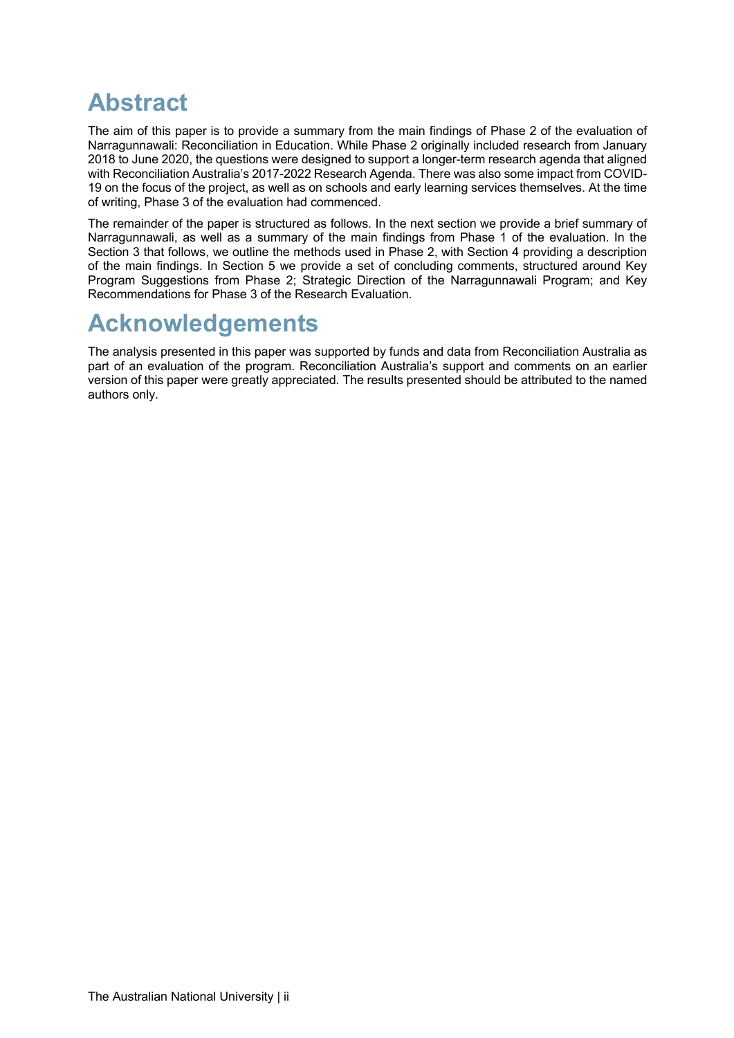## **Abstract**

The aim of this paper is to provide a summary from the main findings of Phase 2 of the evaluation of Narragunnawali: Reconciliation in Education. While Phase 2 originally included research from January 2018 to June 2020, the questions were designed to support a longer-term research agenda that aligned with Reconciliation Australia's 2017-2022 Research Agenda. There was also some impact from COVID-19 on the focus of the project, as well as on schools and early learning services themselves. At the time of writing, Phase 3 of the evaluation had commenced.

The remainder of the paper is structured as follows. In the next section we provide a brief summary of Narragunnawali, as well as a summary of the main findings from Phase 1 of the evaluation. In the Section 3 that follows, we outline the methods used in Phase 2, with Section 4 providing a description of the main findings. In Section 5 we provide a set of concluding comments, structured around Key Program Suggestions from Phase 2; Strategic Direction of the Narragunnawali Program; and Key Recommendations for Phase 3 of the Research Evaluation.

## **Acknowledgements**

The analysis presented in this paper was supported by funds and data from Reconciliation Australia as part of an evaluation of the program. Reconciliation Australia's support and comments on an earlier version of this paper were greatly appreciated. The results presented should be attributed to the named authors only.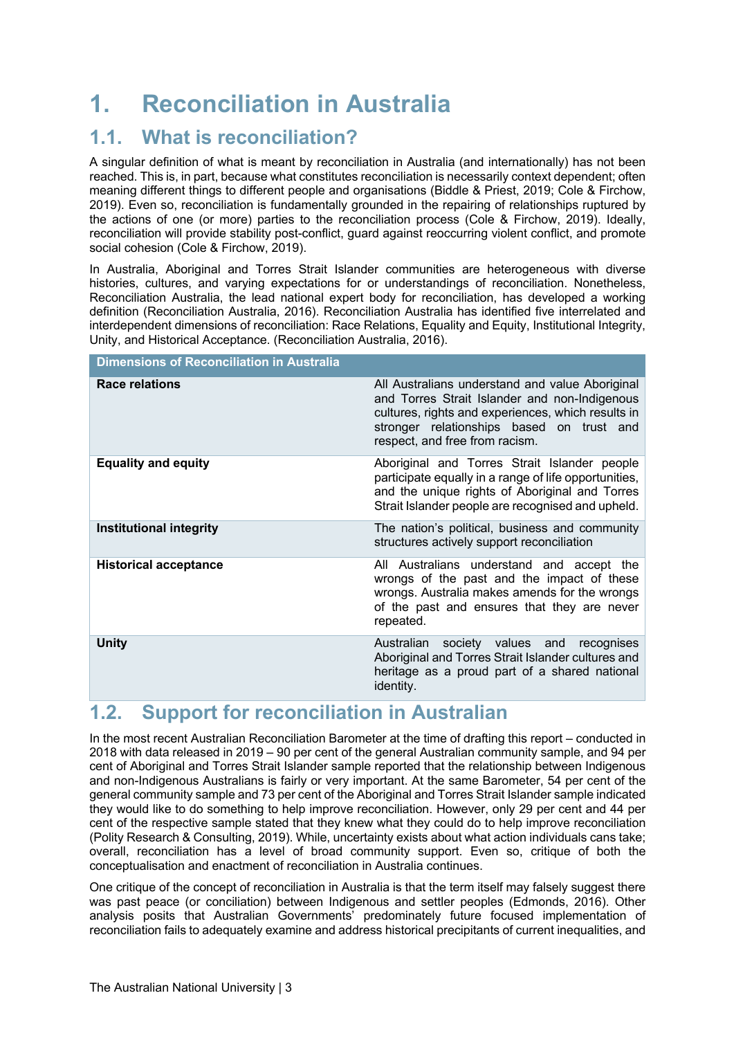## **1. Reconciliation in Australia**

### **1.1. What is reconciliation?**

A singular definition of what is meant by reconciliation in Australia (and internationally) has not been reached. This is, in part, because what constitutes reconciliation is necessarily context dependent; often meaning different things to different people and organisations (Biddle & Priest, 2019; Cole & Firchow, 2019). Even so, reconciliation is fundamentally grounded in the repairing of relationships ruptured by the actions of one (or more) parties to the reconciliation process (Cole & Firchow, 2019). Ideally, reconciliation will provide stability post-conflict, guard against reoccurring violent conflict, and promote social cohesion (Cole & Firchow, 2019).

In Australia, Aboriginal and Torres Strait Islander communities are heterogeneous with diverse histories, cultures, and varying expectations for or understandings of reconciliation. Nonetheless, Reconciliation Australia, the lead national expert body for reconciliation, has developed a working definition (Reconciliation Australia, 2016). Reconciliation Australia has identified five interrelated and interdependent dimensions of reconciliation: Race Relations, Equality and Equity, Institutional Integrity, Unity, and Historical Acceptance. (Reconciliation Australia, 2016).

| <b>Dimensions of Reconciliation in Australia</b>                                                                                                                                                                                      |  |  |  |  |
|---------------------------------------------------------------------------------------------------------------------------------------------------------------------------------------------------------------------------------------|--|--|--|--|
| All Australians understand and value Aboriginal<br>and Torres Strait Islander and non-Indigenous<br>cultures, rights and experiences, which results in<br>stronger relationships based on trust and<br>respect, and free from racism. |  |  |  |  |
| Aboriginal and Torres Strait Islander people<br>participate equally in a range of life opportunities,<br>and the unique rights of Aboriginal and Torres<br>Strait Islander people are recognised and upheld.                          |  |  |  |  |
| The nation's political, business and community<br>structures actively support reconciliation                                                                                                                                          |  |  |  |  |
| All Australians understand and accept the<br>wrongs of the past and the impact of these<br>wrongs. Australia makes amends for the wrongs<br>of the past and ensures that they are never<br>repeated.                                  |  |  |  |  |
| Australian society values and<br>recognises<br>Aboriginal and Torres Strait Islander cultures and<br>heritage as a proud part of a shared national                                                                                    |  |  |  |  |
|                                                                                                                                                                                                                                       |  |  |  |  |

### **1.2. Support for reconciliation in Australian**

In the most recent Australian Reconciliation Barometer at the time of drafting this report – conducted in 2018 with data released in 2019 – 90 per cent of the general Australian community sample, and 94 per cent of Aboriginal and Torres Strait Islander sample reported that the relationship between Indigenous and non-Indigenous Australians is fairly or very important. At the same Barometer, 54 per cent of the general community sample and 73 per cent of the Aboriginal and Torres Strait Islander sample indicated they would like to do something to help improve reconciliation. However, only 29 per cent and 44 per cent of the respective sample stated that they knew what they could do to help improve reconciliation (Polity Research & Consulting, 2019). While, uncertainty exists about what action individuals cans take; overall, reconciliation has a level of broad community support. Even so, critique of both the conceptualisation and enactment of reconciliation in Australia continues.

One critique of the concept of reconciliation in Australia is that the term itself may falsely suggest there was past peace (or conciliation) between Indigenous and settler peoples (Edmonds, 2016). Other analysis posits that Australian Governments' predominately future focused implementation of reconciliation fails to adequately examine and address historical precipitants of current inequalities, and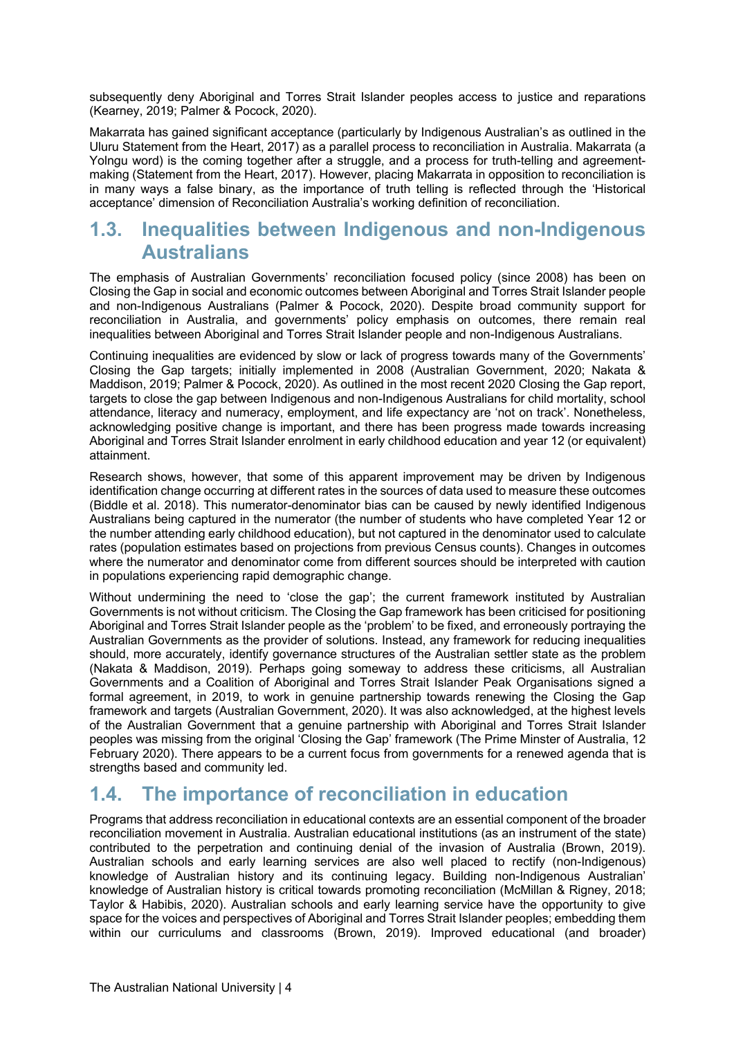subsequently deny Aboriginal and Torres Strait Islander peoples access to justice and reparations (Kearney, 2019; Palmer & Pocock, 2020).

Makarrata has gained significant acceptance (particularly by Indigenous Australian's as outlined in the Uluru Statement from the Heart, 2017) as a parallel process to reconciliation in Australia. Makarrata (a Yolngu word) is the coming together after a struggle, and a process for truth-telling and agreementmaking (Statement from the Heart, 2017). However, placing Makarrata in opposition to reconciliation is in many ways a false binary, as the importance of truth telling is reflected through the 'Historical acceptance' dimension of Reconciliation Australia's working definition of reconciliation.

### **1.3. Inequalities between Indigenous and non-Indigenous Australians**

The emphasis of Australian Governments' reconciliation focused policy (since 2008) has been on Closing the Gap in social and economic outcomes between Aboriginal and Torres Strait Islander people and non-Indigenous Australians (Palmer & Pocock, 2020). Despite broad community support for reconciliation in Australia, and governments' policy emphasis on outcomes, there remain real inequalities between Aboriginal and Torres Strait Islander people and non-Indigenous Australians.

Continuing inequalities are evidenced by slow or lack of progress towards many of the Governments' Closing the Gap targets; initially implemented in 2008 (Australian Government, 2020; Nakata & Maddison, 2019; Palmer & Pocock, 2020). As outlined in the most recent 2020 Closing the Gap report, targets to close the gap between Indigenous and non-Indigenous Australians for child mortality, school attendance, literacy and numeracy, employment, and life expectancy are 'not on track'. Nonetheless, acknowledging positive change is important, and there has been progress made towards increasing Aboriginal and Torres Strait Islander enrolment in early childhood education and year 12 (or equivalent) attainment.

Research shows, however, that some of this apparent improvement may be driven by Indigenous identification change occurring at different rates in the sources of data used to measure these outcomes (Biddle et al. 2018). This numerator-denominator bias can be caused by newly identified Indigenous Australians being captured in the numerator (the number of students who have completed Year 12 or the number attending early childhood education), but not captured in the denominator used to calculate rates (population estimates based on projections from previous Census counts). Changes in outcomes where the numerator and denominator come from different sources should be interpreted with caution in populations experiencing rapid demographic change.

Without undermining the need to 'close the gap'; the current framework instituted by Australian Governments is not without criticism. The Closing the Gap framework has been criticised for positioning Aboriginal and Torres Strait Islander people as the 'problem' to be fixed, and erroneously portraying the Australian Governments as the provider of solutions. Instead, any framework for reducing inequalities should, more accurately, identify governance structures of the Australian settler state as the problem (Nakata & Maddison, 2019). Perhaps going someway to address these criticisms, all Australian Governments and a Coalition of Aboriginal and Torres Strait Islander Peak Organisations signed a formal agreement, in 2019, to work in genuine partnership towards renewing the Closing the Gap framework and targets (Australian Government, 2020). It was also acknowledged, at the highest levels of the Australian Government that a genuine partnership with Aboriginal and Torres Strait Islander peoples was missing from the original 'Closing the Gap' framework (The Prime Minster of Australia, 12 February 2020). There appears to be a current focus from governments for a renewed agenda that is strengths based and community led.

### **1.4. The importance of reconciliation in education**

Programs that address reconciliation in educational contexts are an essential component of the broader reconciliation movement in Australia. Australian educational institutions (as an instrument of the state) contributed to the perpetration and continuing denial of the invasion of Australia (Brown, 2019). Australian schools and early learning services are also well placed to rectify (non-Indigenous) knowledge of Australian history and its continuing legacy. Building non-Indigenous Australian' knowledge of Australian history is critical towards promoting reconciliation (McMillan & Rigney, 2018; Taylor & Habibis, 2020). Australian schools and early learning service have the opportunity to give space for the voices and perspectives of Aboriginal and Torres Strait Islander peoples; embedding them within our curriculums and classrooms (Brown, 2019). Improved educational (and broader)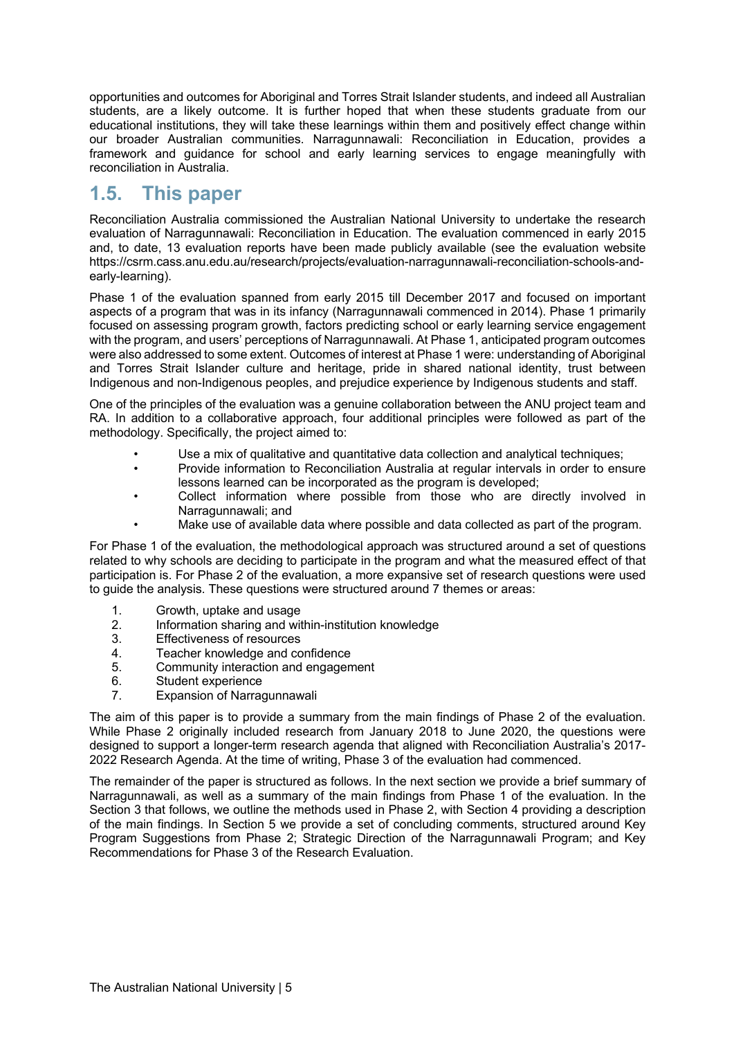opportunities and outcomes for Aboriginal and Torres Strait Islander students, and indeed all Australian students, are a likely outcome. It is further hoped that when these students graduate from our educational institutions, they will take these learnings within them and positively effect change within our broader Australian communities. Narragunnawali: Reconciliation in Education, provides a framework and guidance for school and early learning services to engage meaningfully with reconciliation in Australia.

### **1.5. This paper**

Reconciliation Australia commissioned the Australian National University to undertake the research evaluation of Narragunnawali: Reconciliation in Education. The evaluation commenced in early 2015 and, to date, 13 evaluation reports have been made publicly available (see the evaluation website https://csrm.cass.anu.edu.au/research/projects/evaluation-narragunnawali-reconciliation-schools-andearly-learning).

Phase 1 of the evaluation spanned from early 2015 till December 2017 and focused on important aspects of a program that was in its infancy (Narragunnawali commenced in 2014). Phase 1 primarily focused on assessing program growth, factors predicting school or early learning service engagement with the program, and users' perceptions of Narragunnawali. At Phase 1, anticipated program outcomes were also addressed to some extent. Outcomes of interest at Phase 1 were: understanding of Aboriginal and Torres Strait Islander culture and heritage, pride in shared national identity, trust between Indigenous and non-Indigenous peoples, and prejudice experience by Indigenous students and staff.

One of the principles of the evaluation was a genuine collaboration between the ANU project team and RA. In addition to a collaborative approach, four additional principles were followed as part of the methodology. Specifically, the project aimed to:

- Use a mix of qualitative and quantitative data collection and analytical techniques;
- Provide information to Reconciliation Australia at regular intervals in order to ensure lessons learned can be incorporated as the program is developed;
- Collect information where possible from those who are directly involved in Narragunnawali; and
- Make use of available data where possible and data collected as part of the program.

For Phase 1 of the evaluation, the methodological approach was structured around a set of questions related to why schools are deciding to participate in the program and what the measured effect of that participation is. For Phase 2 of the evaluation, a more expansive set of research questions were used to guide the analysis. These questions were structured around 7 themes or areas:

- 1. Growth, uptake and usage
- 2. Information sharing and within-institution knowledge
- 3. Effectiveness of resources
- 4. Teacher knowledge and confidence<br>5. Community interaction and engagen
- 5. Community interaction and engagement
- 6. Student experience
- 7. Expansion of Narragunnawali

The aim of this paper is to provide a summary from the main findings of Phase 2 of the evaluation. While Phase 2 originally included research from January 2018 to June 2020, the questions were designed to support a longer-term research agenda that aligned with Reconciliation Australia's 2017- 2022 Research Agenda. At the time of writing, Phase 3 of the evaluation had commenced.

The remainder of the paper is structured as follows. In the next section we provide a brief summary of Narragunnawali, as well as a summary of the main findings from Phase 1 of the evaluation. In the Section 3 that follows, we outline the methods used in Phase 2, with Section 4 providing a description of the main findings. In Section 5 we provide a set of concluding comments, structured around Key Program Suggestions from Phase 2; Strategic Direction of the Narragunnawali Program; and Key Recommendations for Phase 3 of the Research Evaluation.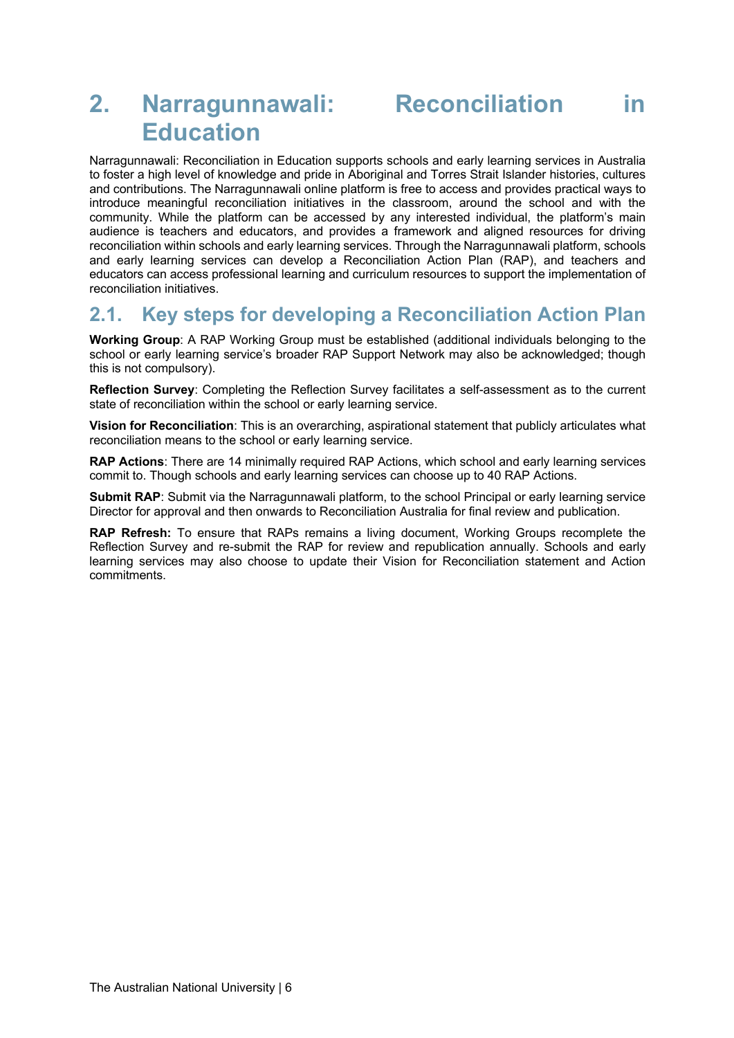## **2. Narragunnawali: Reconciliation in Education**

Narragunnawali: Reconciliation in Education supports schools and early learning services in Australia to foster a high level of knowledge and pride in Aboriginal and Torres Strait Islander histories, cultures and contributions. The Narragunnawali online platform is free to access and provides practical ways to introduce meaningful reconciliation initiatives in the classroom, around the school and with the community. While the platform can be accessed by any interested individual, the platform's main audience is teachers and educators, and provides a framework and aligned resources for driving reconciliation within schools and early learning services. Through the Narragunnawali platform, schools and early learning services can develop a Reconciliation Action Plan (RAP), and teachers and educators can access professional learning and curriculum resources to support the implementation of reconciliation initiatives.

### **2.1. Key steps for developing a Reconciliation Action Plan**

**Working Group**: A RAP Working Group must be established (additional individuals belonging to the school or early learning service's broader RAP Support Network may also be acknowledged; though this is not compulsory).

**Reflection Survey**: Completing the Reflection Survey facilitates a self-assessment as to the current state of reconciliation within the school or early learning service.

**Vision for Reconciliation**: This is an overarching, aspirational statement that publicly articulates what reconciliation means to the school or early learning service.

**RAP Actions**: There are 14 minimally required RAP Actions, which school and early learning services commit to. Though schools and early learning services can choose up to 40 RAP Actions.

**Submit RAP**: Submit via the Narragunnawali platform, to the school Principal or early learning service Director for approval and then onwards to Reconciliation Australia for final review and publication.

**RAP Refresh:** To ensure that RAPs remains a living document, Working Groups recomplete the Reflection Survey and re-submit the RAP for review and republication annually. Schools and early learning services may also choose to update their Vision for Reconciliation statement and Action commitments.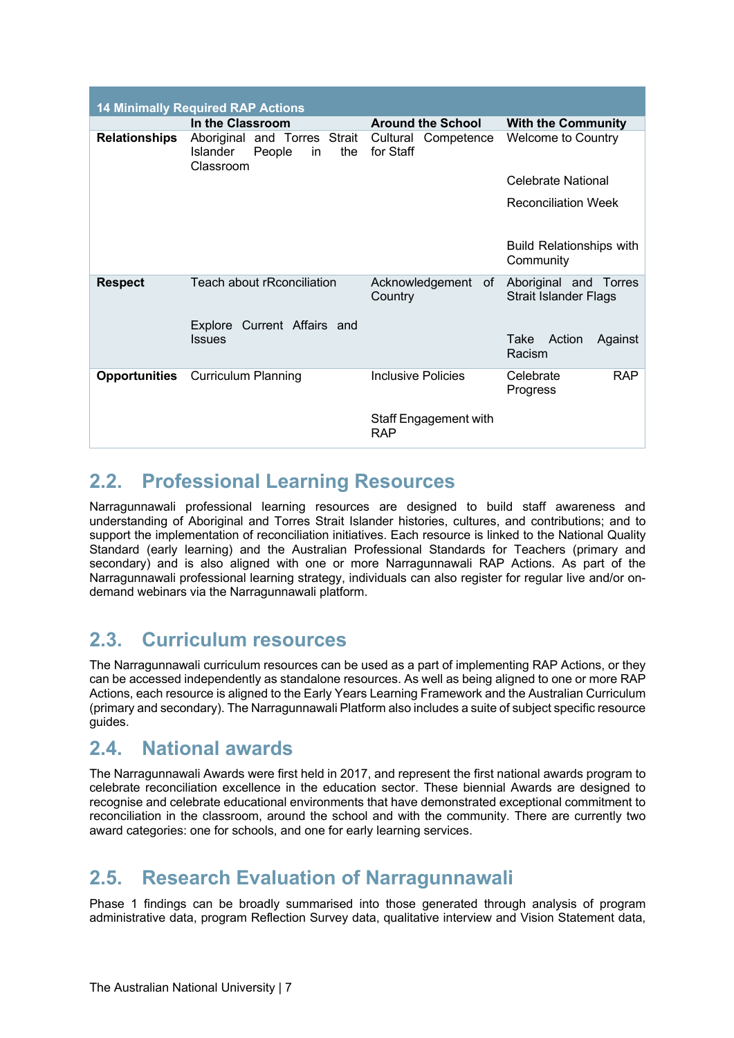| <b>14 Minimally Required RAP Actions</b> |                                                                                                    |                                     |                                                       |  |  |  |
|------------------------------------------|----------------------------------------------------------------------------------------------------|-------------------------------------|-------------------------------------------------------|--|--|--|
|                                          | In the Classroom                                                                                   | <b>Around the School</b>            | <b>With the Community</b>                             |  |  |  |
|                                          | <b>Relationships</b> Aboriginal and Torres Strait<br>Islander<br>People<br>the<br>in.<br>Classroom | Competence<br>Cultural<br>for Staff | <b>Welcome to Country</b>                             |  |  |  |
|                                          |                                                                                                    |                                     | Celebrate National                                    |  |  |  |
|                                          |                                                                                                    |                                     | <b>Reconciliation Week</b>                            |  |  |  |
|                                          |                                                                                                    |                                     | <b>Build Relationships with</b><br>Community          |  |  |  |
| <b>Respect</b>                           | Teach about rRconciliation                                                                         | Acknowledgement of<br>Country       | Aboriginal and Torres<br><b>Strait Islander Flags</b> |  |  |  |
|                                          | Explore Current Affairs and<br><b>Issues</b>                                                       |                                     | Action<br>Take<br>Against<br>Racism                   |  |  |  |
| Opportunities                            | <b>Curriculum Planning</b>                                                                         | Inclusive Policies                  | <b>RAP</b><br>Celebrate<br>Progress                   |  |  |  |
|                                          |                                                                                                    | Staff Engagement with<br><b>RAP</b> |                                                       |  |  |  |

### **2.2. Professional Learning Resources**

Narragunnawali professional learning resources are designed to build staff awareness and understanding of Aboriginal and Torres Strait Islander histories, cultures, and contributions; and to support the implementation of reconciliation initiatives. Each resource is linked to the National Quality Standard (early learning) and the Australian Professional Standards for Teachers (primary and secondary) and is also aligned with one or more Narragunnawali RAP Actions. As part of the Narragunnawali professional learning strategy, individuals can also register for regular live and/or ondemand webinars via the Narragunnawali platform.

### **2.3. Curriculum resources**

The Narragunnawali curriculum resources can be used as a part of implementing RAP Actions, or they can be accessed independently as standalone resources. As well as being aligned to one or more RAP Actions, each resource is aligned to the Early Years Learning Framework and the Australian Curriculum (primary and secondary). The Narragunnawali Platform also includes a suite of subject specific resource guides.

### **2.4. National awards**

The Narragunnawali Awards were first held in 2017, and represent the first national awards program to celebrate reconciliation excellence in the education sector. These biennial Awards are designed to recognise and celebrate educational environments that have demonstrated exceptional commitment to reconciliation in the classroom, around the school and with the community. There are currently two award categories: one for schools, and one for early learning services.

### **2.5. Research Evaluation of Narragunnawali**

Phase 1 findings can be broadly summarised into those generated through analysis of program administrative data, program Reflection Survey data, qualitative interview and Vision Statement data,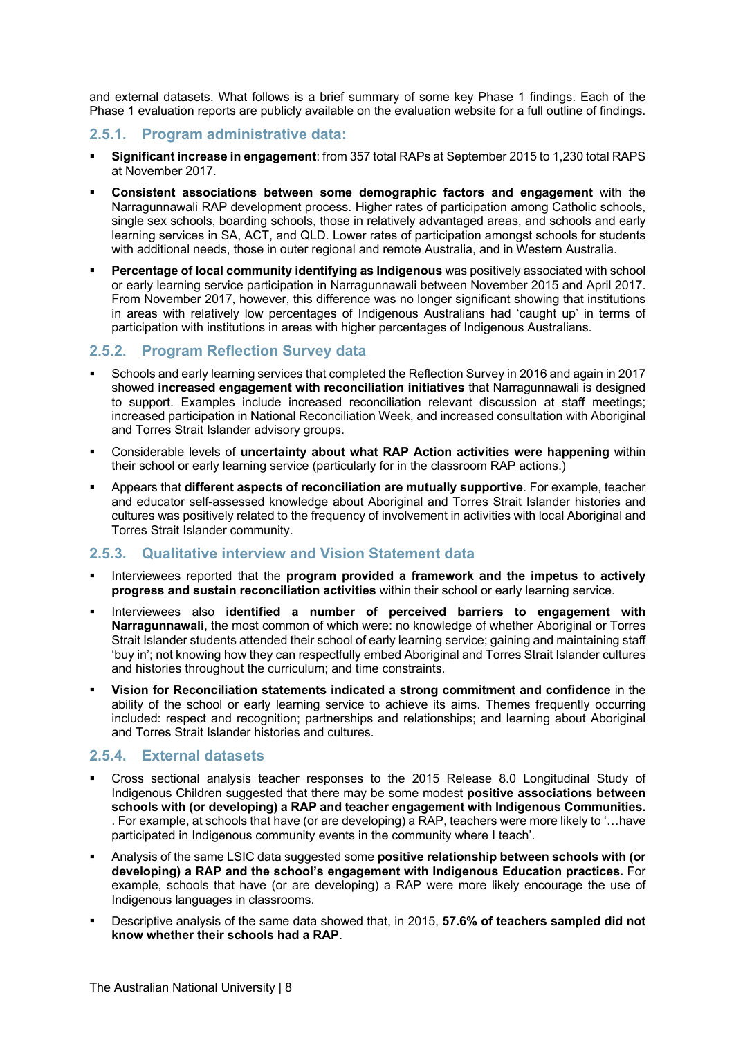and external datasets. What follows is a brief summary of some key Phase 1 findings. Each of the Phase 1 evaluation reports are publicly available on the evaluation website for a full outline of findings.

#### **2.5.1. Program administrative data:**

- § **Significant increase in engagement**: from 357 total RAPs at September 2015 to 1,230 total RAPS at November 2017.
- § **Consistent associations between some demographic factors and engagement** with the Narragunnawali RAP development process. Higher rates of participation among Catholic schools, single sex schools, boarding schools, those in relatively advantaged areas, and schools and early learning services in SA, ACT, and QLD. Lower rates of participation amongst schools for students with additional needs, those in outer regional and remote Australia, and in Western Australia.
- § **Percentage of local community identifying as Indigenous** was positively associated with school or early learning service participation in Narragunnawali between November 2015 and April 2017. From November 2017, however, this difference was no longer significant showing that institutions in areas with relatively low percentages of Indigenous Australians had 'caught up' in terms of participation with institutions in areas with higher percentages of Indigenous Australians.

#### **2.5.2. Program Reflection Survey data**

- § Schools and early learning services that completed the Reflection Survey in 2016 and again in 2017 showed **increased engagement with reconciliation initiatives** that Narragunnawali is designed to support. Examples include increased reconciliation relevant discussion at staff meetings; increased participation in National Reconciliation Week, and increased consultation with Aboriginal and Torres Strait Islander advisory groups.
- § Considerable levels of **uncertainty about what RAP Action activities were happening** within their school or early learning service (particularly for in the classroom RAP actions.)
- § Appears that **different aspects of reconciliation are mutually supportive**. For example, teacher and educator self-assessed knowledge about Aboriginal and Torres Strait Islander histories and cultures was positively related to the frequency of involvement in activities with local Aboriginal and Torres Strait Islander community.

#### **2.5.3. Qualitative interview and Vision Statement data**

- § Interviewees reported that the **program provided a framework and the impetus to actively progress and sustain reconciliation activities** within their school or early learning service.
- § Interviewees also **identified a number of perceived barriers to engagement with Narragunnawali**, the most common of which were: no knowledge of whether Aboriginal or Torres Strait Islander students attended their school of early learning service; gaining and maintaining staff 'buy in'; not knowing how they can respectfully embed Aboriginal and Torres Strait Islander cultures and histories throughout the curriculum; and time constraints.
- § **Vision for Reconciliation statements indicated a strong commitment and confidence** in the ability of the school or early learning service to achieve its aims. Themes frequently occurring included: respect and recognition; partnerships and relationships; and learning about Aboriginal and Torres Strait Islander histories and cultures.

#### **2.5.4. External datasets**

- § Cross sectional analysis teacher responses to the 2015 Release 8.0 Longitudinal Study of Indigenous Children suggested that there may be some modest **positive associations between schools with (or developing) a RAP and teacher engagement with Indigenous Communities.** . For example, at schools that have (or are developing) a RAP, teachers were more likely to '…have participated in Indigenous community events in the community where I teach'.
- § Analysis of the same LSIC data suggested some **positive relationship between schools with (or developing) a RAP and the school's engagement with Indigenous Education practices.** For example, schools that have (or are developing) a RAP were more likely encourage the use of Indigenous languages in classrooms.
- § Descriptive analysis of the same data showed that, in 2015, **57.6% of teachers sampled did not know whether their schools had a RAP**.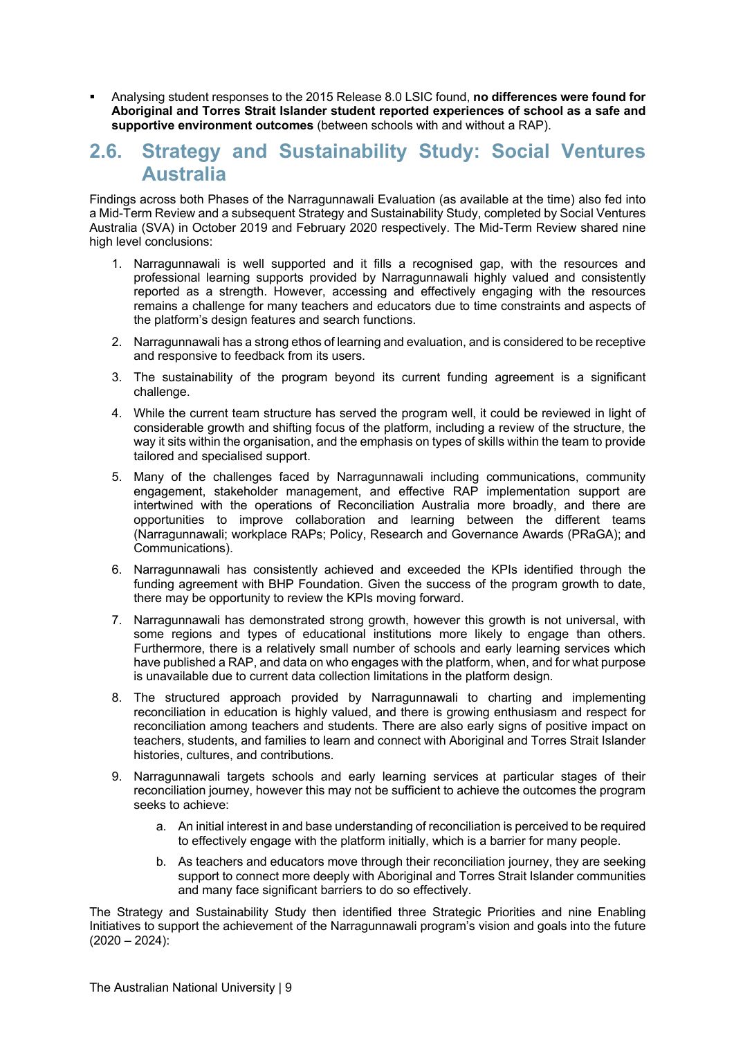§ Analysing student responses to the 2015 Release 8.0 LSIC found, **no differences were found for Aboriginal and Torres Strait Islander student reported experiences of school as a safe and supportive environment outcomes** (between schools with and without a RAP).

### **2.6. Strategy and Sustainability Study: Social Ventures Australia**

Findings across both Phases of the Narragunnawali Evaluation (as available at the time) also fed into a Mid-Term Review and a subsequent Strategy and Sustainability Study, completed by Social Ventures Australia (SVA) in October 2019 and February 2020 respectively. The Mid-Term Review shared nine high level conclusions:

- 1. Narragunnawali is well supported and it fills a recognised gap, with the resources and professional learning supports provided by Narragunnawali highly valued and consistently reported as a strength. However, accessing and effectively engaging with the resources remains a challenge for many teachers and educators due to time constraints and aspects of the platform's design features and search functions.
- 2. Narragunnawali has a strong ethos of learning and evaluation, and is considered to be receptive and responsive to feedback from its users.
- 3. The sustainability of the program beyond its current funding agreement is a significant challenge.
- 4. While the current team structure has served the program well, it could be reviewed in light of considerable growth and shifting focus of the platform, including a review of the structure, the way it sits within the organisation, and the emphasis on types of skills within the team to provide tailored and specialised support.
- 5. Many of the challenges faced by Narragunnawali including communications, community engagement, stakeholder management, and effective RAP implementation support are intertwined with the operations of Reconciliation Australia more broadly, and there are opportunities to improve collaboration and learning between the different teams (Narragunnawali; workplace RAPs; Policy, Research and Governance Awards (PRaGA); and Communications).
- 6. Narragunnawali has consistently achieved and exceeded the KPIs identified through the funding agreement with BHP Foundation. Given the success of the program growth to date, there may be opportunity to review the KPIs moving forward.
- 7. Narragunnawali has demonstrated strong growth, however this growth is not universal, with some regions and types of educational institutions more likely to engage than others. Furthermore, there is a relatively small number of schools and early learning services which have published a RAP, and data on who engages with the platform, when, and for what purpose is unavailable due to current data collection limitations in the platform design.
- 8. The structured approach provided by Narragunnawali to charting and implementing reconciliation in education is highly valued, and there is growing enthusiasm and respect for reconciliation among teachers and students. There are also early signs of positive impact on teachers, students, and families to learn and connect with Aboriginal and Torres Strait Islander histories, cultures, and contributions.
- 9. Narragunnawali targets schools and early learning services at particular stages of their reconciliation journey, however this may not be sufficient to achieve the outcomes the program seeks to achieve:
	- a. An initial interest in and base understanding of reconciliation is perceived to be required to effectively engage with the platform initially, which is a barrier for many people.
	- b. As teachers and educators move through their reconciliation journey, they are seeking support to connect more deeply with Aboriginal and Torres Strait Islander communities and many face significant barriers to do so effectively.

The Strategy and Sustainability Study then identified three Strategic Priorities and nine Enabling Initiatives to support the achievement of the Narragunnawali program's vision and goals into the future  $(2020 - 2024)$ :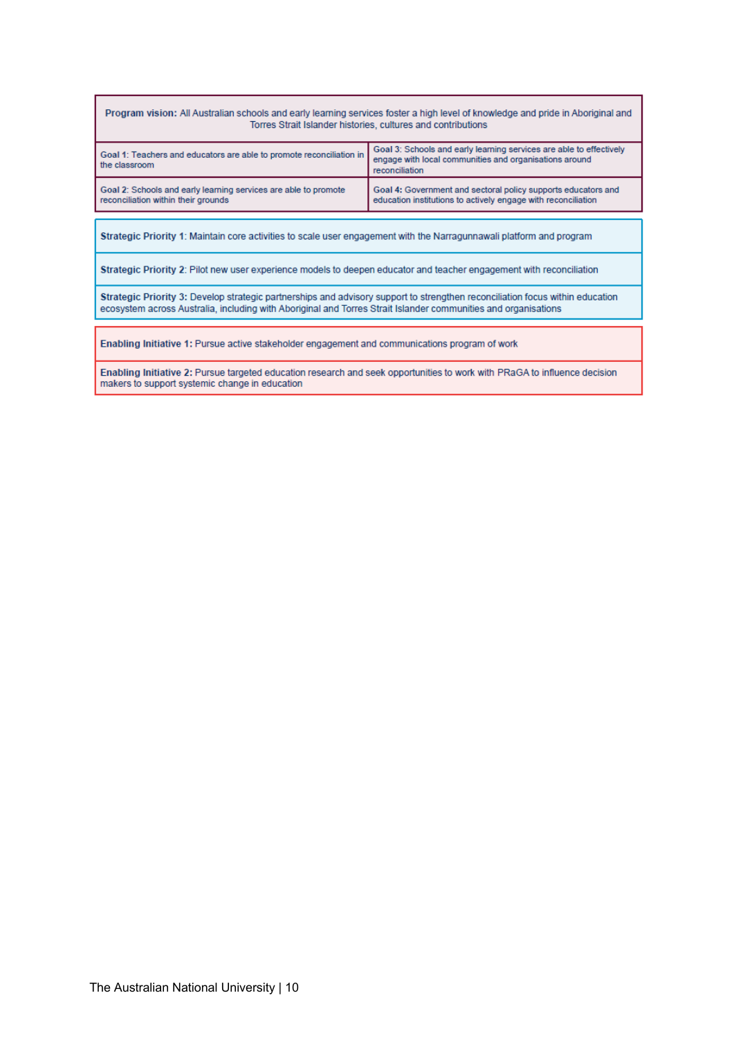#### Program vision: All Australian schools and early learning services foster a high level of knowledge and pride in Aboriginal and Torres Strait Islander histories, cultures and contributions

| Goal 1: Teachers and educators are able to promote reconciliation in<br>the classroom                  | Goal 3: Schools and early learning services are able to effectively<br>engage with local communities and organisations around<br>reconciliation |  |  |  |
|--------------------------------------------------------------------------------------------------------|-------------------------------------------------------------------------------------------------------------------------------------------------|--|--|--|
| Goal 2: Schools and early learning services are able to promote<br>reconciliation within their grounds | Goal 4: Government and sectoral policy supports educators and<br>education institutions to actively engage with reconciliation                  |  |  |  |

Strategic Priority 1: Maintain core activities to scale user engagement with the Narragunnawali platform and program

Strategic Priority 2: Pilot new user experience models to deepen educator and teacher engagement with reconciliation

Strategic Priority 3: Develop strategic partnerships and advisory support to strengthen reconciliation focus within education ecosystem across Australia, including with Aboriginal and Torres Strait Islander communities and organisations

Enabling Initiative 1: Pursue active stakeholder engagement and communications program of work

Enabling Initiative 2: Pursue targeted education research and seek opportunities to work with PRaGA to influence decision makers to support systemic change in education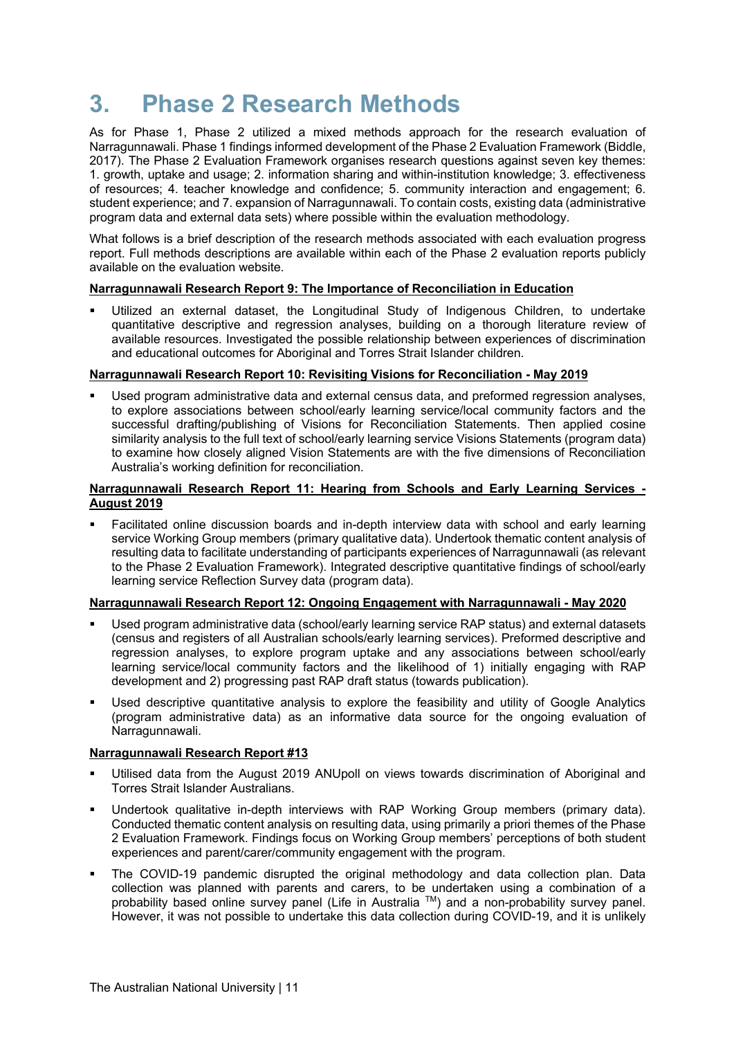## **3. Phase 2 Research Methods**

As for Phase 1, Phase 2 utilized a mixed methods approach for the research evaluation of Narragunnawali. Phase 1 findings informed development of the Phase 2 Evaluation Framework (Biddle, 2017). The Phase 2 Evaluation Framework organises research questions against seven key themes: 1. growth, uptake and usage; 2. information sharing and within-institution knowledge; 3. effectiveness of resources; 4. teacher knowledge and confidence; 5. community interaction and engagement; 6. student experience; and 7. expansion of Narragunnawali. To contain costs, existing data (administrative program data and external data sets) where possible within the evaluation methodology.

What follows is a brief description of the research methods associated with each evaluation progress report. Full methods descriptions are available within each of the Phase 2 evaluation reports publicly available on the evaluation website.

#### **Narragunnawali Research Report 9: The Importance of Reconciliation in Education**

Utilized an external dataset, the Longitudinal Study of Indigenous Children, to undertake quantitative descriptive and regression analyses, building on a thorough literature review of available resources. Investigated the possible relationship between experiences of discrimination and educational outcomes for Aboriginal and Torres Strait Islander children.

#### **Narragunnawali Research Report 10: Revisiting Visions for Reconciliation - May 2019**

§ Used program administrative data and external census data, and preformed regression analyses, to explore associations between school/early learning service/local community factors and the successful drafting/publishing of Visions for Reconciliation Statements. Then applied cosine similarity analysis to the full text of school/early learning service Visions Statements (program data) to examine how closely aligned Vision Statements are with the five dimensions of Reconciliation Australia's working definition for reconciliation.

#### **Narragunnawali Research Report 11: Hearing from Schools and Early Learning Services - August 2019**

Facilitated online discussion boards and in-depth interview data with school and early learning service Working Group members (primary qualitative data). Undertook thematic content analysis of resulting data to facilitate understanding of participants experiences of Narragunnawali (as relevant to the Phase 2 Evaluation Framework). Integrated descriptive quantitative findings of school/early learning service Reflection Survey data (program data).

#### **Narragunnawali Research Report 12: Ongoing Engagement with Narragunnawali - May 2020**

- Used program administrative data (school/early learning service RAP status) and external datasets (census and registers of all Australian schools/early learning services). Preformed descriptive and regression analyses, to explore program uptake and any associations between school/early learning service/local community factors and the likelihood of 1) initially engaging with RAP development and 2) progressing past RAP draft status (towards publication).
- Used descriptive quantitative analysis to explore the feasibility and utility of Google Analytics (program administrative data) as an informative data source for the ongoing evaluation of Narragunnawali.

#### **Narragunnawali Research Report #13**

- Utilised data from the August 2019 ANUpoll on views towards discrimination of Aboriginal and Torres Strait Islander Australians.
- Undertook qualitative in-depth interviews with RAP Working Group members (primary data). Conducted thematic content analysis on resulting data, using primarily a priori themes of the Phase 2 Evaluation Framework. Findings focus on Working Group members' perceptions of both student experiences and parent/carer/community engagement with the program.
- The COVID-19 pandemic disrupted the original methodology and data collection plan. Data collection was planned with parents and carers, to be undertaken using a combination of a probability based online survey panel (Life in Australia TM) and a non-probability survey panel. However, it was not possible to undertake this data collection during COVID-19, and it is unlikely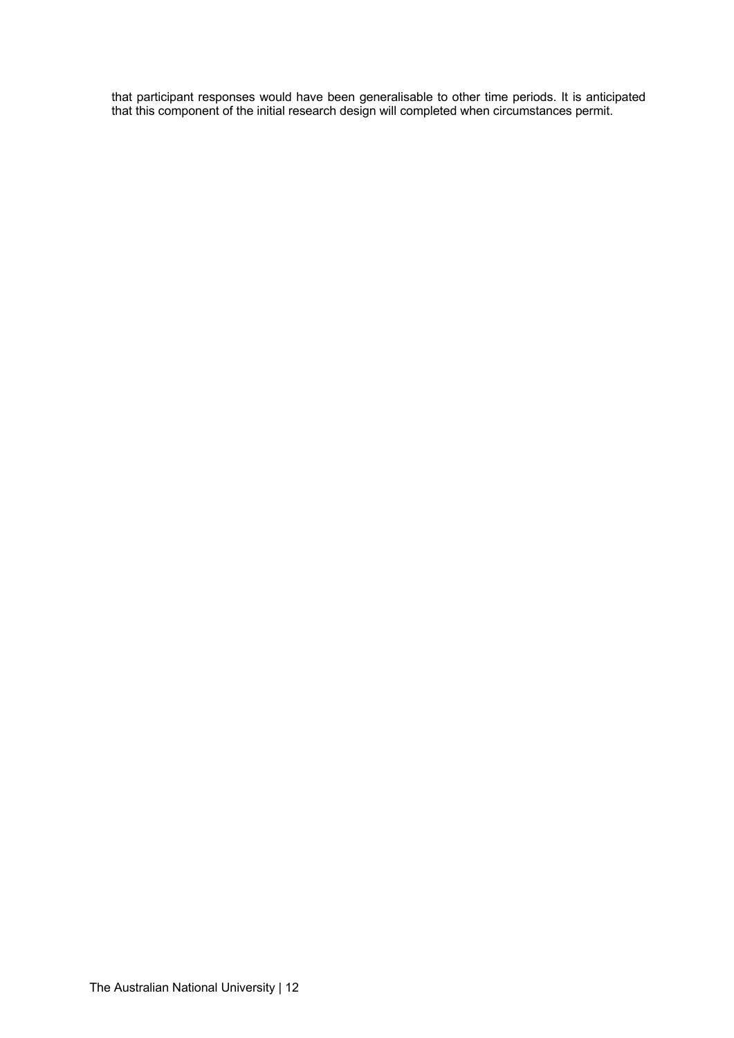that participant responses would have been generalisable to other time periods. It is anticipated that this component of the initial research design will completed when circumstances permit.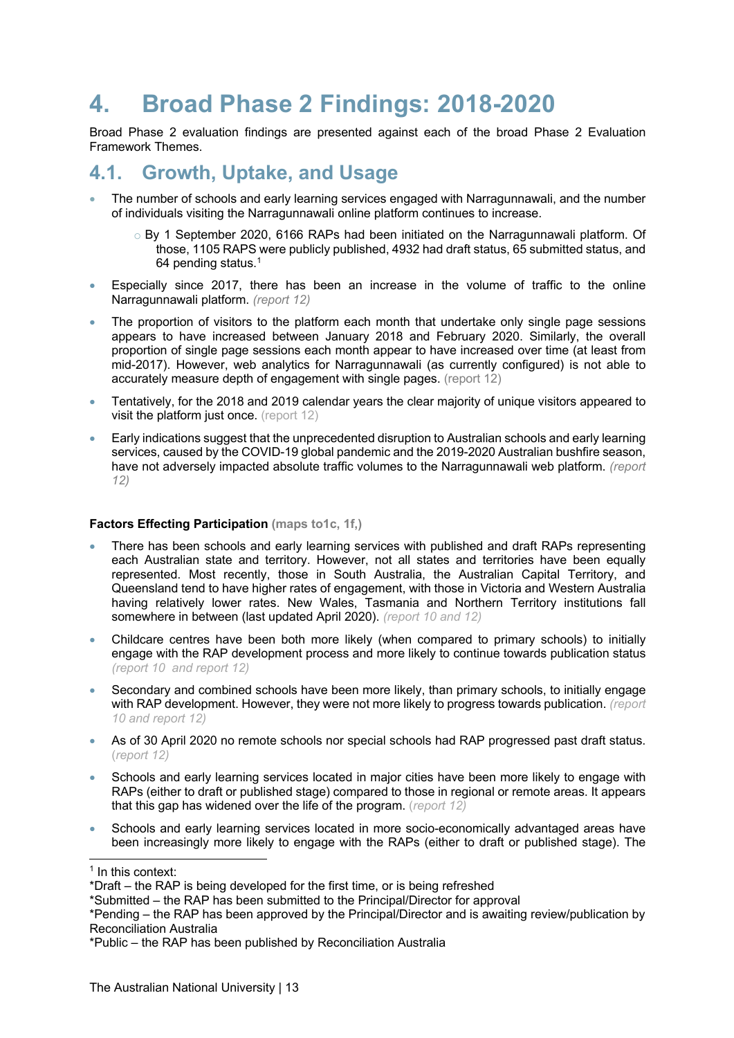## **4. Broad Phase 2 Findings: 2018-2020**

Broad Phase 2 evaluation findings are presented against each of the broad Phase 2 Evaluation Framework Themes.

### **4.1. Growth, Uptake, and Usage**

- The number of schools and early learning services engaged with Narragunnawali, and the number of individuals visiting the Narragunnawali online platform continues to increase.
	- o By 1 September 2020, 6166 RAPs had been initiated on the Narragunnawali platform. Of those, 1105 RAPS were publicly published, 4932 had draft status, 65 submitted status, and 64 pending status.1
- Especially since 2017, there has been an increase in the volume of traffic to the online Narragunnawali platform. *(report 12)*
- The proportion of visitors to the platform each month that undertake only single page sessions appears to have increased between January 2018 and February 2020. Similarly, the overall proportion of single page sessions each month appear to have increased over time (at least from mid-2017). However, web analytics for Narragunnawali (as currently configured) is not able to accurately measure depth of engagement with single pages. (report 12)
- Tentatively, for the 2018 and 2019 calendar years the clear majority of unique visitors appeared to visit the platform just once. (report 12)
- Early indications suggest that the unprecedented disruption to Australian schools and early learning services, caused by the COVID-19 global pandemic and the 2019-2020 Australian bushfire season, have not adversely impacted absolute traffic volumes to the Narragunnawali web platform. *(report 12)*

#### **Factors Effecting Participation (maps to1c, 1f,)**

- There has been schools and early learning services with published and draft RAPs representing each Australian state and territory. However, not all states and territories have been equally represented. Most recently, those in South Australia, the Australian Capital Territory, and Queensland tend to have higher rates of engagement, with those in Victoria and Western Australia having relatively lower rates. New Wales, Tasmania and Northern Territory institutions fall somewhere in between (last updated April 2020). *(report 10 and 12)*
- Childcare centres have been both more likely (when compared to primary schools) to initially engage with the RAP development process and more likely to continue towards publication status *(report 10 and report 12)*
- Secondary and combined schools have been more likely, than primary schools, to initially engage with RAP development. However, they were not more likely to progress towards publication. *(report 10 and report 12)*
- As of 30 April 2020 no remote schools nor special schools had RAP progressed past draft status. (*report 12)*
- Schools and early learning services located in major cities have been more likely to engage with RAPs (either to draft or published stage) compared to those in regional or remote areas. It appears that this gap has widened over the life of the program. (*report 12)*
- Schools and early learning services located in more socio-economically advantaged areas have been increasingly more likely to engage with the RAPs (either to draft or published stage). The

<sup>&</sup>lt;sup>1</sup> In this context:

<sup>\*</sup>Draft – the RAP is being developed for the first time, or is being refreshed

<sup>\*</sup>Submitted – the RAP has been submitted to the Principal/Director for approval

<sup>\*</sup>Pending – the RAP has been approved by the Principal/Director and is awaiting review/publication by Reconciliation Australia

<sup>\*</sup>Public – the RAP has been published by Reconciliation Australia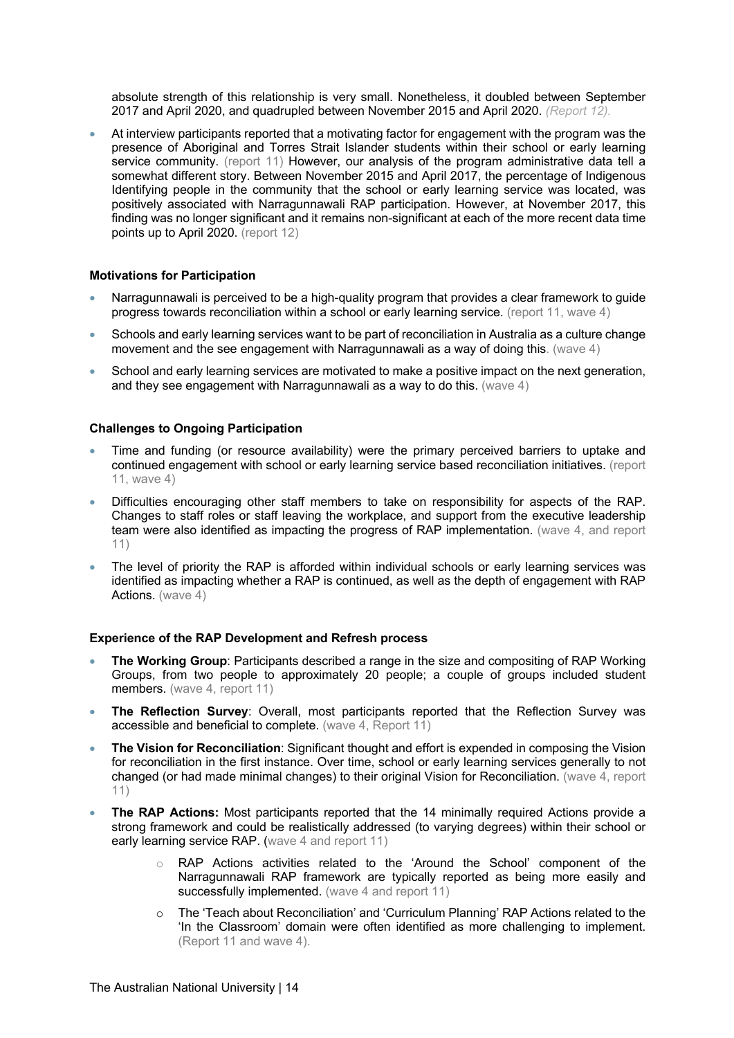absolute strength of this relationship is very small. Nonetheless, it doubled between September 2017 and April 2020, and quadrupled between November 2015 and April 2020. *(Report 12).*

• At interview participants reported that a motivating factor for engagement with the program was the presence of Aboriginal and Torres Strait Islander students within their school or early learning service community. (report 11) However, our analysis of the program administrative data tell a somewhat different story. Between November 2015 and April 2017, the percentage of Indigenous Identifying people in the community that the school or early learning service was located, was positively associated with Narragunnawali RAP participation. However, at November 2017, this finding was no longer significant and it remains non-significant at each of the more recent data time points up to April 2020. (report 12)

#### **Motivations for Participation**

- Narragunnawali is perceived to be a high-quality program that provides a clear framework to guide progress towards reconciliation within a school or early learning service. (report 11, wave 4)
- Schools and early learning services want to be part of reconciliation in Australia as a culture change movement and the see engagement with Narragunnawali as a way of doing this. (wave 4)
- School and early learning services are motivated to make a positive impact on the next generation, and they see engagement with Narragunnawali as a way to do this. (wave 4)

#### **Challenges to Ongoing Participation**

- Time and funding (or resource availability) were the primary perceived barriers to uptake and continued engagement with school or early learning service based reconciliation initiatives. (report 11, wave 4)
- Difficulties encouraging other staff members to take on responsibility for aspects of the RAP. Changes to staff roles or staff leaving the workplace, and support from the executive leadership team were also identified as impacting the progress of RAP implementation. (wave 4, and report 11)
- The level of priority the RAP is afforded within individual schools or early learning services was identified as impacting whether a RAP is continued, as well as the depth of engagement with RAP Actions. (wave 4)

#### **Experience of the RAP Development and Refresh process**

- **The Working Group**: Participants described a range in the size and compositing of RAP Working Groups, from two people to approximately 20 people; a couple of groups included student members. (wave 4, report 11)
- **The Reflection Survey**: Overall, most participants reported that the Reflection Survey was accessible and beneficial to complete. (wave 4, Report 11)
- **The Vision for Reconciliation**: Significant thought and effort is expended in composing the Vision for reconciliation in the first instance. Over time, school or early learning services generally to not changed (or had made minimal changes) to their original Vision for Reconciliation. (wave 4, report 11)
- **The RAP Actions:** Most participants reported that the 14 minimally required Actions provide a strong framework and could be realistically addressed (to varying degrees) within their school or early learning service RAP. (wave 4 and report 11)
	- o RAP Actions activities related to the 'Around the School' component of the Narragunnawali RAP framework are typically reported as being more easily and successfully implemented. (wave 4 and report 11)
	- The 'Teach about Reconciliation' and 'Curriculum Planning' RAP Actions related to the 'In the Classroom' domain were often identified as more challenging to implement. (Report 11 and wave 4).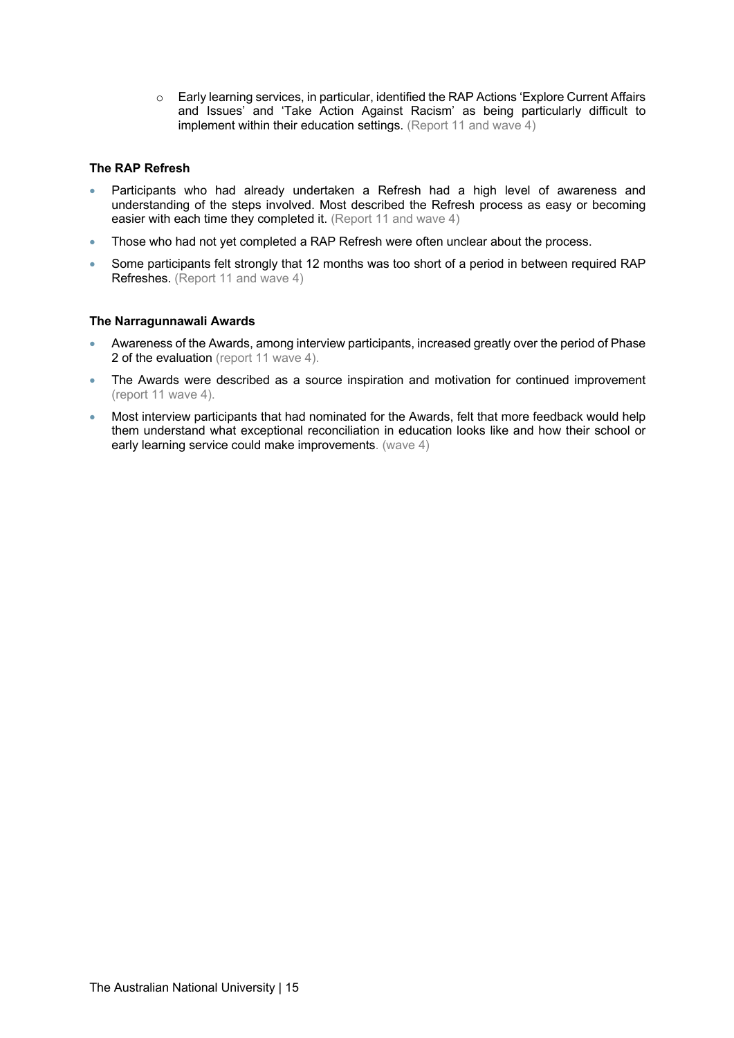o Early learning services, in particular, identified the RAP Actions 'Explore Current Affairs and Issues' and 'Take Action Against Racism' as being particularly difficult to implement within their education settings. (Report 11 and wave 4)

#### **The RAP Refresh**

- Participants who had already undertaken a Refresh had a high level of awareness and understanding of the steps involved. Most described the Refresh process as easy or becoming easier with each time they completed it. (Report 11 and wave 4)
- Those who had not yet completed a RAP Refresh were often unclear about the process.
- Some participants felt strongly that 12 months was too short of a period in between required RAP Refreshes. (Report 11 and wave 4)

#### **The Narragunnawali Awards**

- Awareness of the Awards, among interview participants, increased greatly over the period of Phase 2 of the evaluation (report 11 wave 4).
- The Awards were described as a source inspiration and motivation for continued improvement (report 11 wave 4).
- Most interview participants that had nominated for the Awards, felt that more feedback would help them understand what exceptional reconciliation in education looks like and how their school or early learning service could make improvements. (wave 4)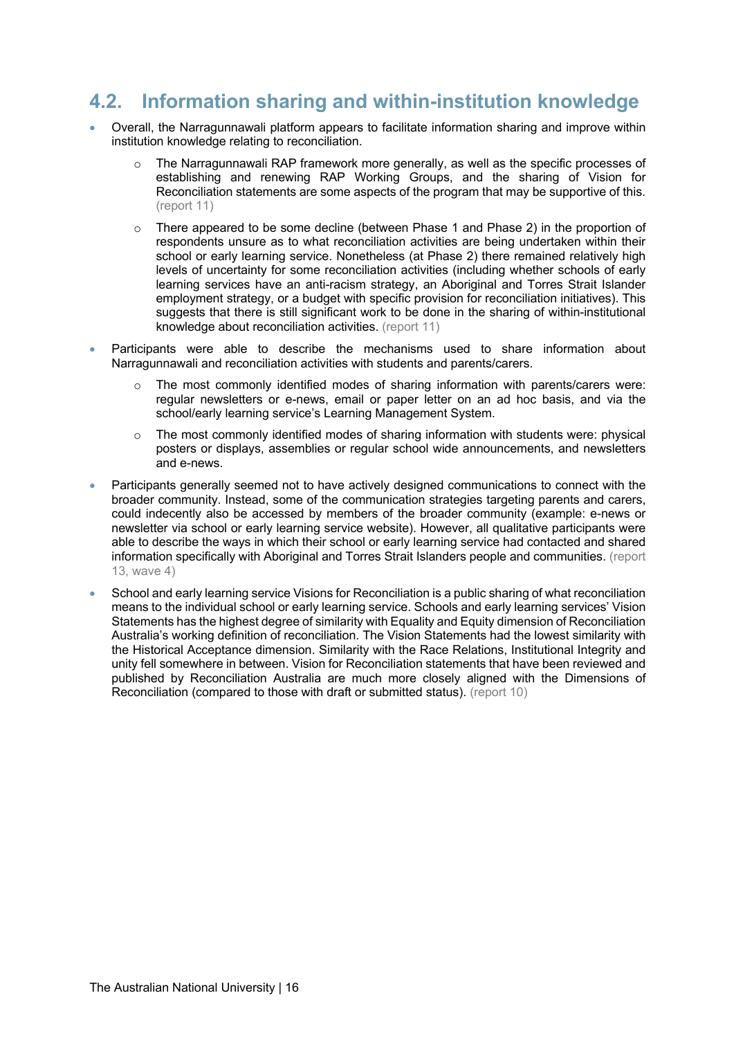### **4.2. Information sharing and within-institution knowledge**

- Overall, the Narragunnawali platform appears to facilitate information sharing and improve within institution knowledge relating to reconciliation.
	- o The Narragunnawali RAP framework more generally, as well as the specific processes of establishing and renewing RAP Working Groups, and the sharing of Vision for Reconciliation statements are some aspects of the program that may be supportive of this. (report 11)
	- $\circ$  There appeared to be some decline (between Phase 1 and Phase 2) in the proportion of respondents unsure as to what reconciliation activities are being undertaken within their school or early learning service. Nonetheless (at Phase 2) there remained relatively high levels of uncertainty for some reconciliation activities (including whether schools of early learning services have an anti-racism strategy, an Aboriginal and Torres Strait Islander employment strategy, or a budget with specific provision for reconciliation initiatives). This suggests that there is still significant work to be done in the sharing of within-institutional knowledge about reconciliation activities. (report 11)
- Participants were able to describe the mechanisms used to share information about Narragunnawali and reconciliation activities with students and parents/carers.
	- o The most commonly identified modes of sharing information with parents/carers were: regular newsletters or e-news, email or paper letter on an ad hoc basis, and via the school/early learning service's Learning Management System.
	- $\circ$  The most commonly identified modes of sharing information with students were: physical posters or displays, assemblies or regular school wide announcements, and newsletters and e-news.
- Participants generally seemed not to have actively designed communications to connect with the broader community. Instead, some of the communication strategies targeting parents and carers, could indecently also be accessed by members of the broader community (example: e-news or newsletter via school or early learning service website). However, all qualitative participants were able to describe the ways in which their school or early learning service had contacted and shared information specifically with Aboriginal and Torres Strait Islanders people and communities. (report 13, wave 4)
- School and early learning service Visions for Reconciliation is a public sharing of what reconciliation means to the individual school or early learning service. Schools and early learning services' Vision Statements has the highest degree of similarity with Equality and Equity dimension of Reconciliation Australia's working definition of reconciliation. The Vision Statements had the lowest similarity with the Historical Acceptance dimension. Similarity with the Race Relations, Institutional Integrity and unity fell somewhere in between. Vision for Reconciliation statements that have been reviewed and published by Reconciliation Australia are much more closely aligned with the Dimensions of Reconciliation (compared to those with draft or submitted status). (report 10)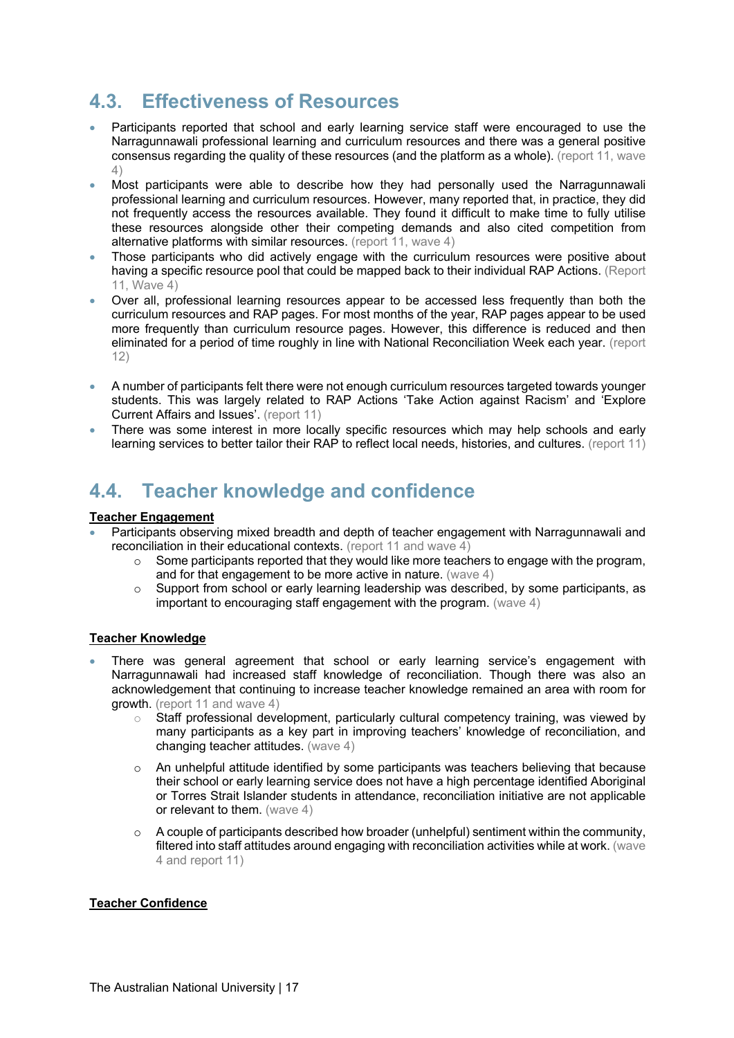### **4.3. Effectiveness of Resources**

- Participants reported that school and early learning service staff were encouraged to use the Narragunnawali professional learning and curriculum resources and there was a general positive consensus regarding the quality of these resources (and the platform as a whole). (report 11, wave 4)
- Most participants were able to describe how they had personally used the Narragunnawali professional learning and curriculum resources. However, many reported that, in practice, they did not frequently access the resources available. They found it difficult to make time to fully utilise these resources alongside other their competing demands and also cited competition from alternative platforms with similar resources. (report 11, wave 4)
- Those participants who did actively engage with the curriculum resources were positive about having a specific resource pool that could be mapped back to their individual RAP Actions. (Report 11, Wave 4)
- Over all, professional learning resources appear to be accessed less frequently than both the curriculum resources and RAP pages. For most months of the year, RAP pages appear to be used more frequently than curriculum resource pages. However, this difference is reduced and then eliminated for a period of time roughly in line with National Reconciliation Week each year. (report 12)
- A number of participants felt there were not enough curriculum resources targeted towards younger students. This was largely related to RAP Actions 'Take Action against Racism' and 'Explore Current Affairs and Issues'. (report 11)
- There was some interest in more locally specific resources which may help schools and early learning services to better tailor their RAP to reflect local needs, histories, and cultures. (report 11)

### **4.4. Teacher knowledge and confidence**

#### **Teacher Engagement**

- Participants observing mixed breadth and depth of teacher engagement with Narragunnawali and reconciliation in their educational contexts. (report 11 and wave 4)
	- $\circ$  Some participants reported that they would like more teachers to engage with the program, and for that engagement to be more active in nature. (wave 4)
	- o Support from school or early learning leadership was described, by some participants, as important to encouraging staff engagement with the program. (wave 4)

#### **Teacher Knowledge**

- There was general agreement that school or early learning service's engagement with Narragunnawali had increased staff knowledge of reconciliation. Though there was also an acknowledgement that continuing to increase teacher knowledge remained an area with room for growth. (report 11 and wave 4)
	- o Staff professional development, particularly cultural competency training, was viewed by many participants as a key part in improving teachers' knowledge of reconciliation, and changing teacher attitudes. (wave 4)
	- $\circ$  An unhelpful attitude identified by some participants was teachers believing that because their school or early learning service does not have a high percentage identified Aboriginal or Torres Strait Islander students in attendance, reconciliation initiative are not applicable or relevant to them. (wave 4)
	- $\circ$  A couple of participants described how broader (unhelpful) sentiment within the community, filtered into staff attitudes around engaging with reconciliation activities while at work. (wave 4 and report 11)

#### **Teacher Confidence**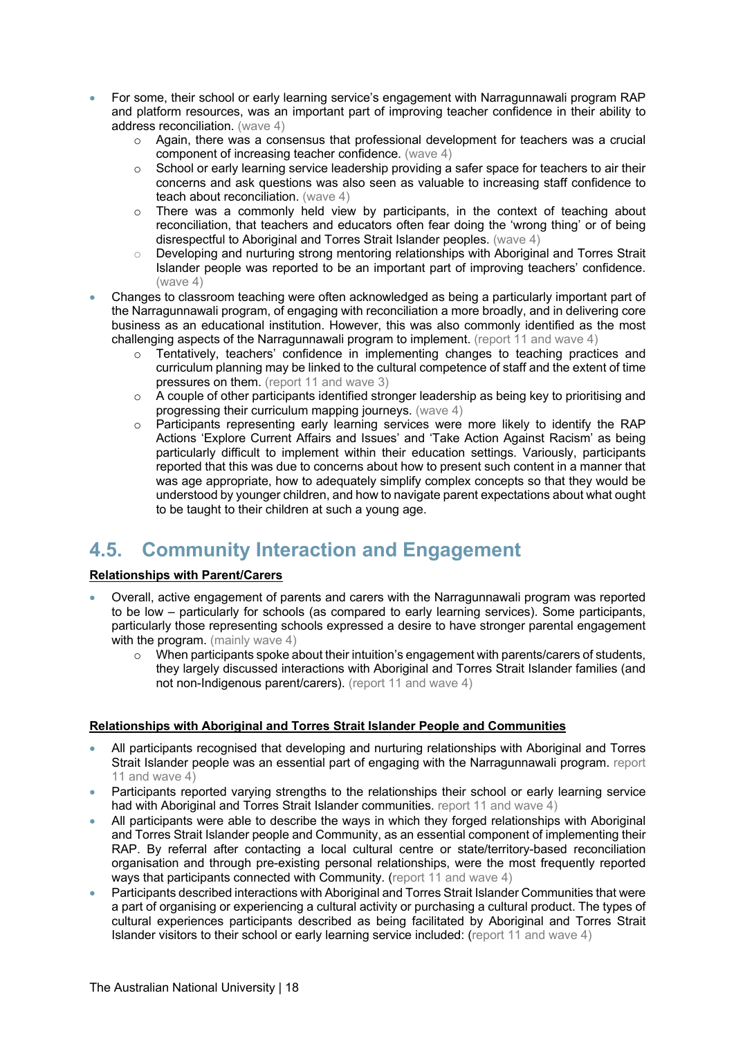- For some, their school or early learning service's engagement with Narragunnawali program RAP and platform resources, was an important part of improving teacher confidence in their ability to address reconciliation. (wave 4)
	- o Again, there was a consensus that professional development for teachers was a crucial component of increasing teacher confidence. (wave 4)
	- o School or early learning service leadership providing a safer space for teachers to air their concerns and ask questions was also seen as valuable to increasing staff confidence to teach about reconciliation. (wave 4)
	- $\circ$  There was a commonly held view by participants, in the context of teaching about reconciliation, that teachers and educators often fear doing the 'wrong thing' or of being disrespectful to Aboriginal and Torres Strait Islander peoples. (wave 4)
	- o Developing and nurturing strong mentoring relationships with Aboriginal and Torres Strait Islander people was reported to be an important part of improving teachers' confidence. (wave 4)
- Changes to classroom teaching were often acknowledged as being a particularly important part of the Narragunnawali program, of engaging with reconciliation a more broadly, and in delivering core business as an educational institution. However, this was also commonly identified as the most challenging aspects of the Narragunnawali program to implement. (report 11 and wave 4)
	- o Tentatively, teachers' confidence in implementing changes to teaching practices and curriculum planning may be linked to the cultural competence of staff and the extent of time pressures on them. (report 11 and wave 3)
	- $\circ$  A couple of other participants identified stronger leadership as being key to prioritising and progressing their curriculum mapping journeys. (wave 4)
	- o Participants representing early learning services were more likely to identify the RAP Actions 'Explore Current Affairs and Issues' and 'Take Action Against Racism' as being particularly difficult to implement within their education settings. Variously, participants reported that this was due to concerns about how to present such content in a manner that was age appropriate, how to adequately simplify complex concepts so that they would be understood by younger children, and how to navigate parent expectations about what ought to be taught to their children at such a young age.

### **4.5. Community Interaction and Engagement**

#### **Relationships with Parent/Carers**

- Overall, active engagement of parents and carers with the Narragunnawali program was reported to be low – particularly for schools (as compared to early learning services). Some participants, particularly those representing schools expressed a desire to have stronger parental engagement with the program. (mainly wave 4)
	- $\circ$  When participants spoke about their intuition's engagement with parents/carers of students, they largely discussed interactions with Aboriginal and Torres Strait Islander families (and not non-Indigenous parent/carers). (report 11 and wave 4)

#### **Relationships with Aboriginal and Torres Strait Islander People and Communities**

- All participants recognised that developing and nurturing relationships with Aboriginal and Torres Strait Islander people was an essential part of engaging with the Narragunnawali program. report 11 and wave 4)
- Participants reported varying strengths to the relationships their school or early learning service had with Aboriginal and Torres Strait Islander communities. report 11 and wave 4)
- All participants were able to describe the ways in which they forged relationships with Aboriginal and Torres Strait Islander people and Community, as an essential component of implementing their RAP. By referral after contacting a local cultural centre or state/territory-based reconciliation organisation and through pre-existing personal relationships, were the most frequently reported ways that participants connected with Community. (report 11 and wave 4)
- Participants described interactions with Aboriginal and Torres Strait Islander Communities that were a part of organising or experiencing a cultural activity or purchasing a cultural product. The types of cultural experiences participants described as being facilitated by Aboriginal and Torres Strait Islander visitors to their school or early learning service included: (report 11 and wave 4)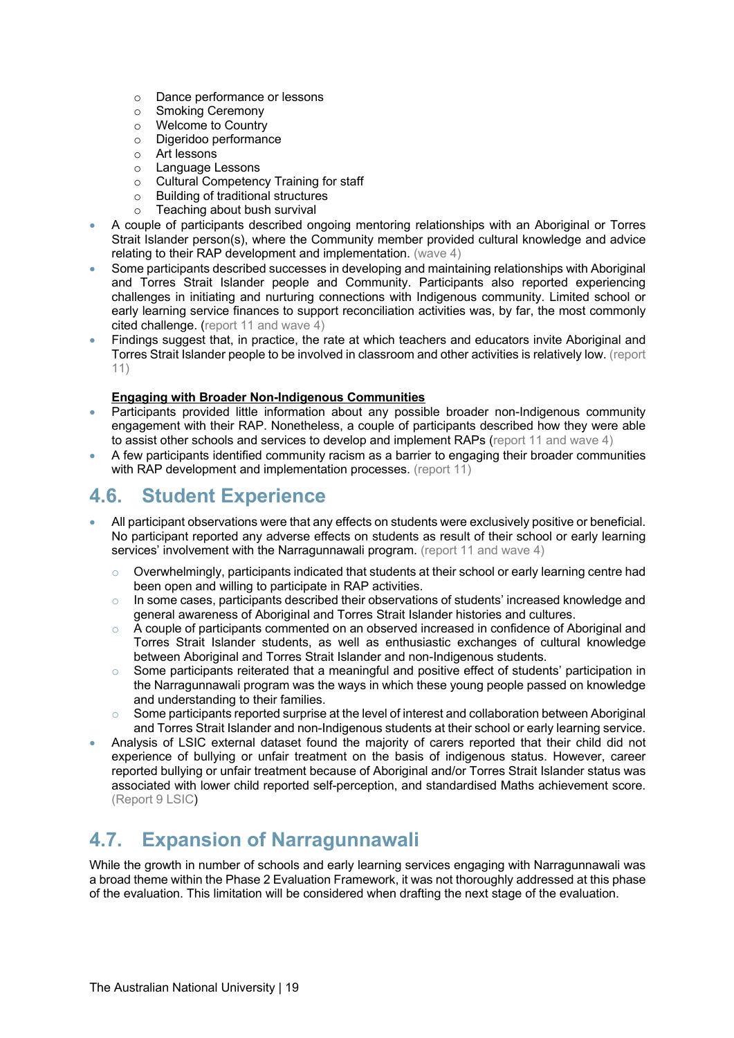- o Dance performance or lessons
- o Smoking Ceremony
- o Welcome to Country
- o Digeridoo performance
- o Art lessons
- o Language Lessons
- o Cultural Competency Training for staff
- o Building of traditional structures
- o Teaching about bush survival
- A couple of participants described ongoing mentoring relationships with an Aboriginal or Torres Strait Islander person(s), where the Community member provided cultural knowledge and advice relating to their RAP development and implementation. (wave 4)
- Some participants described successes in developing and maintaining relationships with Aboriginal and Torres Strait Islander people and Community. Participants also reported experiencing challenges in initiating and nurturing connections with Indigenous community. Limited school or early learning service finances to support reconciliation activities was, by far, the most commonly cited challenge. (report 11 and wave 4)
- Findings suggest that, in practice, the rate at which teachers and educators invite Aboriginal and Torres Strait Islander people to be involved in classroom and other activities is relatively low. (report 11)

#### **Engaging with Broader Non-Indigenous Communities**

- Participants provided little information about any possible broader non-Indigenous community engagement with their RAP. Nonetheless, a couple of participants described how they were able to assist other schools and services to develop and implement RAPs (report 11 and wave 4)
- A few participants identified community racism as a barrier to engaging their broader communities with RAP development and implementation processes. (report 11)

### **4.6. Student Experience**

- All participant observations were that any effects on students were exclusively positive or beneficial. No participant reported any adverse effects on students as result of their school or early learning services' involvement with the Narragunnawali program. (report 11 and wave 4)
	- $\circ$  Overwhelmingly, participants indicated that students at their school or early learning centre had been open and willing to participate in RAP activities.
	- $\circ$  In some cases, participants described their observations of students' increased knowledge and general awareness of Aboriginal and Torres Strait Islander histories and cultures.
	- $\circ$  A couple of participants commented on an observed increased in confidence of Aboriginal and Torres Strait Islander students, as well as enthusiastic exchanges of cultural knowledge between Aboriginal and Torres Strait Islander and non-Indigenous students.
	- $\circ$  Some participants reiterated that a meaningful and positive effect of students' participation in the Narragunnawali program was the ways in which these young people passed on knowledge and understanding to their families.
	- $\circ$  Some participants reported surprise at the level of interest and collaboration between Aboriginal and Torres Strait Islander and non-Indigenous students at their school or early learning service.
- Analysis of LSIC external dataset found the majority of carers reported that their child did not experience of bullying or unfair treatment on the basis of indigenous status. However, career reported bullying or unfair treatment because of Aboriginal and/or Torres Strait Islander status was associated with lower child reported self-perception, and standardised Maths achievement score. (Report 9 LSIC)

### **4.7. Expansion of Narragunnawali**

While the growth in number of schools and early learning services engaging with Narragunnawali was a broad theme within the Phase 2 Evaluation Framework, it was not thoroughly addressed at this phase of the evaluation. This limitation will be considered when drafting the next stage of the evaluation.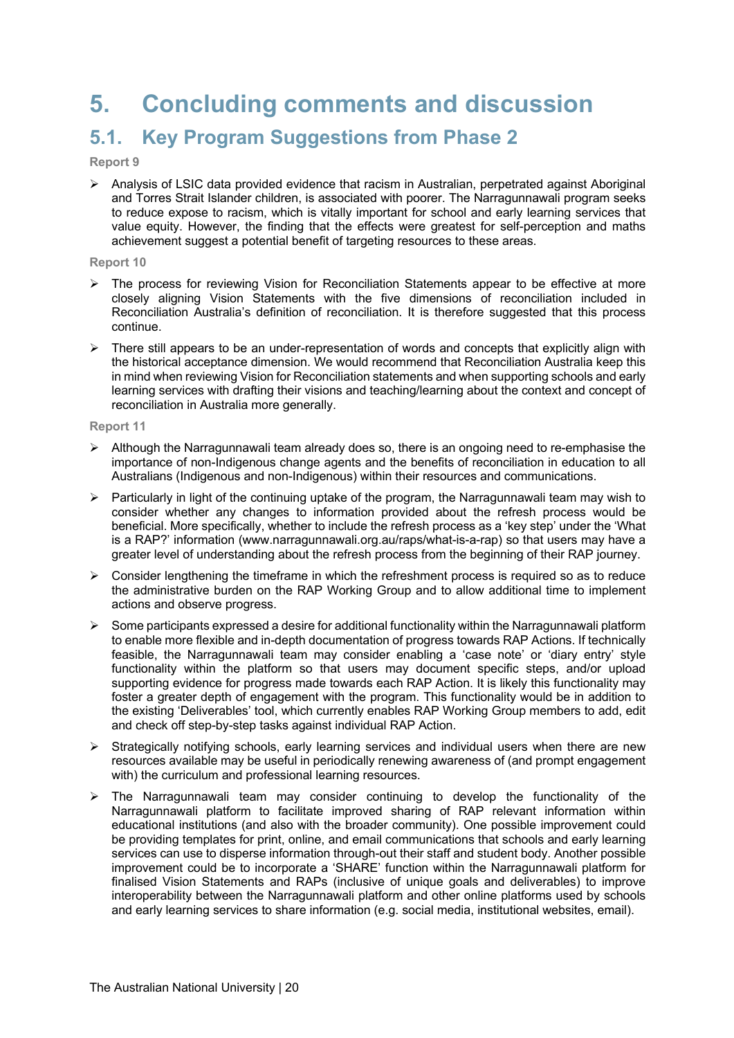## **5. Concluding comments and discussion**

### **5.1. Key Program Suggestions from Phase 2**

#### **Report 9**

 $\triangleright$  Analysis of LSIC data provided evidence that racism in Australian, perpetrated against Aboriginal and Torres Strait Islander children, is associated with poorer. The Narragunnawali program seeks to reduce expose to racism, which is vitally important for school and early learning services that value equity. However, the finding that the effects were greatest for self-perception and maths achievement suggest a potential benefit of targeting resources to these areas.

#### **Report 10**

- $\triangleright$  The process for reviewing Vision for Reconciliation Statements appear to be effective at more closely aligning Vision Statements with the five dimensions of reconciliation included in Reconciliation Australia's definition of reconciliation. It is therefore suggested that this process continue.
- $\triangleright$  There still appears to be an under-representation of words and concepts that explicitly align with the historical acceptance dimension. We would recommend that Reconciliation Australia keep this in mind when reviewing Vision for Reconciliation statements and when supporting schools and early learning services with drafting their visions and teaching/learning about the context and concept of reconciliation in Australia more generally.

#### **Report 11**

- $\triangleright$  Although the Narragunnawali team already does so, there is an ongoing need to re-emphasise the importance of non-Indigenous change agents and the benefits of reconciliation in education to all Australians (Indigenous and non-Indigenous) within their resources and communications.
- $\triangleright$  Particularly in light of the continuing uptake of the program, the Narragunnawali team may wish to consider whether any changes to information provided about the refresh process would be beneficial. More specifically, whether to include the refresh process as a 'key step' under the 'What is a RAP?' information (www.narragunnawali.org.au/raps/what-is-a-rap) so that users may have a greater level of understanding about the refresh process from the beginning of their RAP journey.
- $\triangleright$  Consider lengthening the timeframe in which the refreshment process is required so as to reduce the administrative burden on the RAP Working Group and to allow additional time to implement actions and observe progress.
- $\triangleright$  Some participants expressed a desire for additional functionality within the Narragunnawali platform to enable more flexible and in-depth documentation of progress towards RAP Actions. If technically feasible, the Narragunnawali team may consider enabling a 'case note' or 'diary entry' style functionality within the platform so that users may document specific steps, and/or upload supporting evidence for progress made towards each RAP Action. It is likely this functionality may foster a greater depth of engagement with the program. This functionality would be in addition to the existing 'Deliverables' tool, which currently enables RAP Working Group members to add, edit and check off step-by-step tasks against individual RAP Action.
- $\triangleright$  Strategically notifying schools, early learning services and individual users when there are new resources available may be useful in periodically renewing awareness of (and prompt engagement with) the curriculum and professional learning resources.
- $\triangleright$  The Narragunnawali team may consider continuing to develop the functionality of the Narragunnawali platform to facilitate improved sharing of RAP relevant information within educational institutions (and also with the broader community). One possible improvement could be providing templates for print, online, and email communications that schools and early learning services can use to disperse information through-out their staff and student body. Another possible improvement could be to incorporate a 'SHARE' function within the Narragunnawali platform for finalised Vision Statements and RAPs (inclusive of unique goals and deliverables) to improve interoperability between the Narragunnawali platform and other online platforms used by schools and early learning services to share information (e.g. social media, institutional websites, email).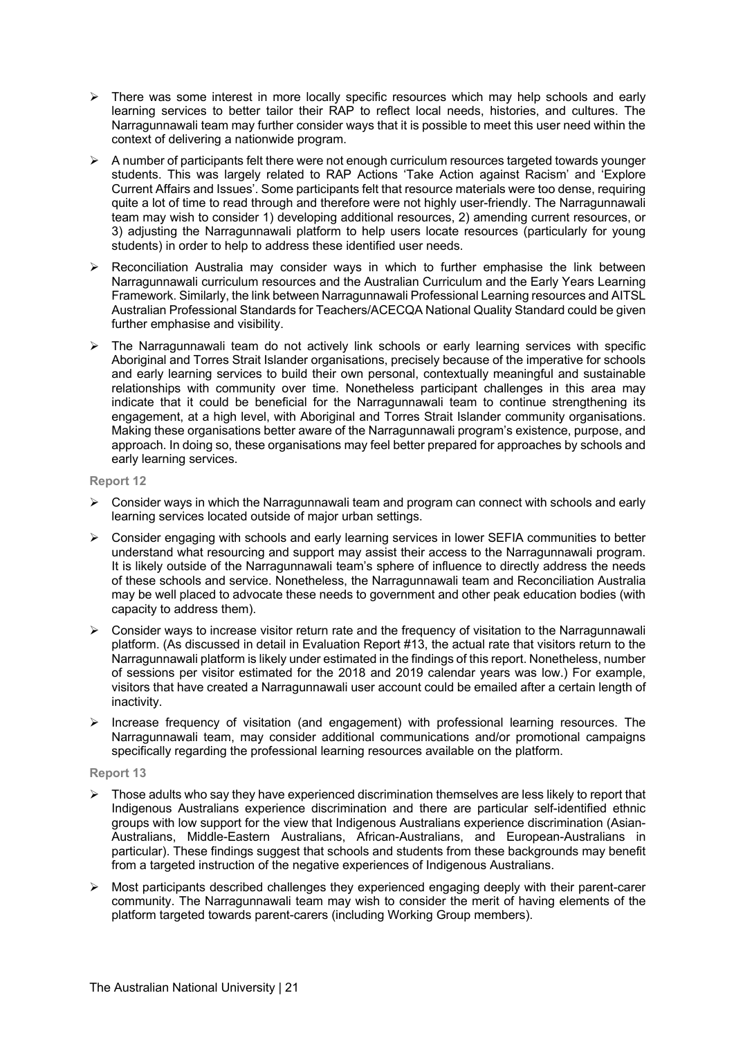- $\triangleright$  There was some interest in more locally specific resources which may help schools and early learning services to better tailor their RAP to reflect local needs, histories, and cultures. The Narragunnawali team may further consider ways that it is possible to meet this user need within the context of delivering a nationwide program.
- $\triangleright$  A number of participants felt there were not enough curriculum resources targeted towards younger students. This was largely related to RAP Actions 'Take Action against Racism' and 'Explore Current Affairs and Issues'. Some participants felt that resource materials were too dense, requiring quite a lot of time to read through and therefore were not highly user-friendly. The Narragunnawali team may wish to consider 1) developing additional resources, 2) amending current resources, or 3) adjusting the Narragunnawali platform to help users locate resources (particularly for young students) in order to help to address these identified user needs.
- $\triangleright$  Reconciliation Australia may consider ways in which to further emphasise the link between Narragunnawali curriculum resources and the Australian Curriculum and the Early Years Learning Framework. Similarly, the link between Narragunnawali Professional Learning resources and AITSL Australian Professional Standards for Teachers/ACECQA National Quality Standard could be given further emphasise and visibility.
- $\triangleright$  The Narragunnawali team do not actively link schools or early learning services with specific Aboriginal and Torres Strait Islander organisations, precisely because of the imperative for schools and early learning services to build their own personal, contextually meaningful and sustainable relationships with community over time. Nonetheless participant challenges in this area may indicate that it could be beneficial for the Narragunnawali team to continue strengthening its engagement, at a high level, with Aboriginal and Torres Strait Islander community organisations. Making these organisations better aware of the Narragunnawali program's existence, purpose, and approach. In doing so, these organisations may feel better prepared for approaches by schools and early learning services.

#### **Report 12**

- $\triangleright$  Consider ways in which the Narragunnawali team and program can connect with schools and early learning services located outside of major urban settings.
- $\triangleright$  Consider engaging with schools and early learning services in lower SEFIA communities to better understand what resourcing and support may assist their access to the Narragunnawali program. It is likely outside of the Narragunnawali team's sphere of influence to directly address the needs of these schools and service. Nonetheless, the Narragunnawali team and Reconciliation Australia may be well placed to advocate these needs to government and other peak education bodies (with capacity to address them).
- $\triangleright$  Consider ways to increase visitor return rate and the frequency of visitation to the Narragunnawali platform. (As discussed in detail in Evaluation Report #13, the actual rate that visitors return to the Narragunnawali platform is likely under estimated in the findings of this report. Nonetheless, number of sessions per visitor estimated for the 2018 and 2019 calendar years was low.) For example, visitors that have created a Narragunnawali user account could be emailed after a certain length of inactivity.
- $\triangleright$  Increase frequency of visitation (and engagement) with professional learning resources. The Narragunnawali team, may consider additional communications and/or promotional campaigns specifically regarding the professional learning resources available on the platform.

#### **Report 13**

- $\triangleright$  Those adults who say they have experienced discrimination themselves are less likely to report that Indigenous Australians experience discrimination and there are particular self-identified ethnic groups with low support for the view that Indigenous Australians experience discrimination (Asian-Australians, Middle-Eastern Australians, African-Australians, and European-Australians in particular). These findings suggest that schools and students from these backgrounds may benefit from a targeted instruction of the negative experiences of Indigenous Australians.
- $\triangleright$  Most participants described challenges they experienced engaging deeply with their parent-carer community. The Narragunnawali team may wish to consider the merit of having elements of the platform targeted towards parent-carers (including Working Group members).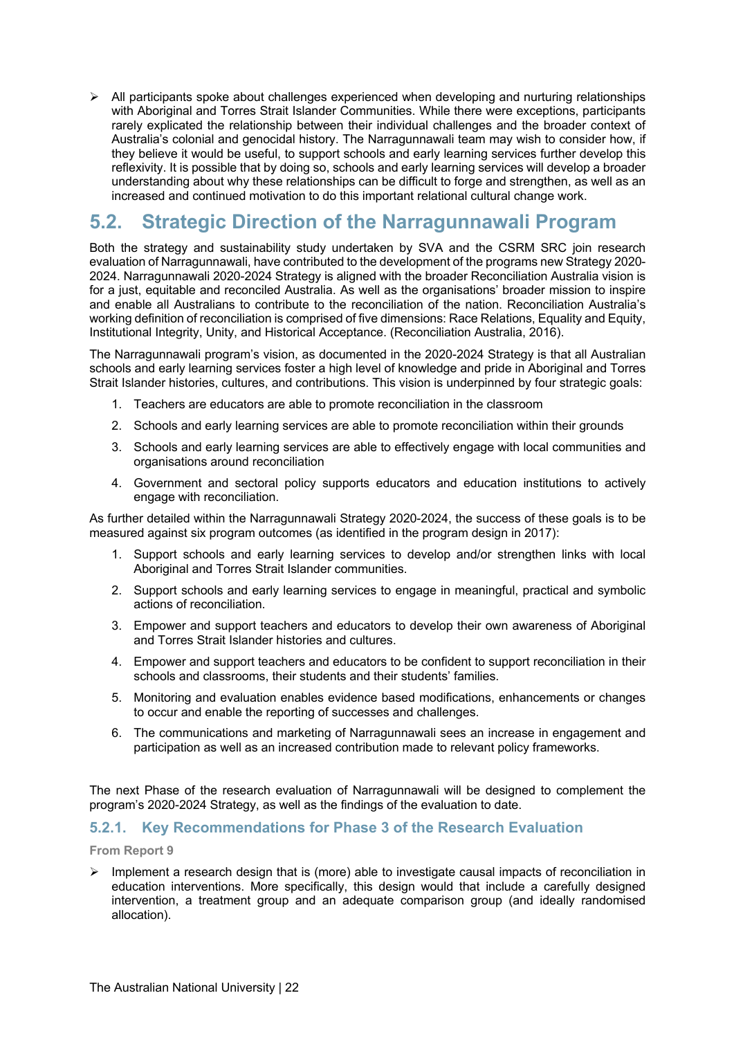$\triangleright$  All participants spoke about challenges experienced when developing and nurturing relationships with Aboriginal and Torres Strait Islander Communities. While there were exceptions, participants rarely explicated the relationship between their individual challenges and the broader context of Australia's colonial and genocidal history. The Narragunnawali team may wish to consider how, if they believe it would be useful, to support schools and early learning services further develop this reflexivity. It is possible that by doing so, schools and early learning services will develop a broader understanding about why these relationships can be difficult to forge and strengthen, as well as an increased and continued motivation to do this important relational cultural change work.

### **5.2. Strategic Direction of the Narragunnawali Program**

Both the strategy and sustainability study undertaken by SVA and the CSRM SRC join research evaluation of Narragunnawali, have contributed to the development of the programs new Strategy 2020- 2024. Narragunnawali 2020-2024 Strategy is aligned with the broader Reconciliation Australia vision is for a just, equitable and reconciled Australia. As well as the organisations' broader mission to inspire and enable all Australians to contribute to the reconciliation of the nation. Reconciliation Australia's working definition of reconciliation is comprised of five dimensions: Race Relations, Equality and Equity, Institutional Integrity, Unity, and Historical Acceptance. (Reconciliation Australia, 2016).

The Narragunnawali program's vision, as documented in the 2020-2024 Strategy is that all Australian schools and early learning services foster a high level of knowledge and pride in Aboriginal and Torres Strait Islander histories, cultures, and contributions. This vision is underpinned by four strategic goals:

- 1. Teachers are educators are able to promote reconciliation in the classroom
- 2. Schools and early learning services are able to promote reconciliation within their grounds
- 3. Schools and early learning services are able to effectively engage with local communities and organisations around reconciliation
- 4. Government and sectoral policy supports educators and education institutions to actively engage with reconciliation.

As further detailed within the Narragunnawali Strategy 2020-2024, the success of these goals is to be measured against six program outcomes (as identified in the program design in 2017):

- 1. Support schools and early learning services to develop and/or strengthen links with local Aboriginal and Torres Strait Islander communities.
- 2. Support schools and early learning services to engage in meaningful, practical and symbolic actions of reconciliation.
- 3. Empower and support teachers and educators to develop their own awareness of Aboriginal and Torres Strait Islander histories and cultures.
- 4. Empower and support teachers and educators to be confident to support reconciliation in their schools and classrooms, their students and their students' families.
- 5. Monitoring and evaluation enables evidence based modifications, enhancements or changes to occur and enable the reporting of successes and challenges.
- 6. The communications and marketing of Narragunnawali sees an increase in engagement and participation as well as an increased contribution made to relevant policy frameworks.

The next Phase of the research evaluation of Narragunnawali will be designed to complement the program's 2020-2024 Strategy, as well as the findings of the evaluation to date.

#### **5.2.1. Key Recommendations for Phase 3 of the Research Evaluation**

#### **From Report 9**

 $\triangleright$  Implement a research design that is (more) able to investigate causal impacts of reconciliation in education interventions. More specifically, this design would that include a carefully designed intervention, a treatment group and an adequate comparison group (and ideally randomised allocation).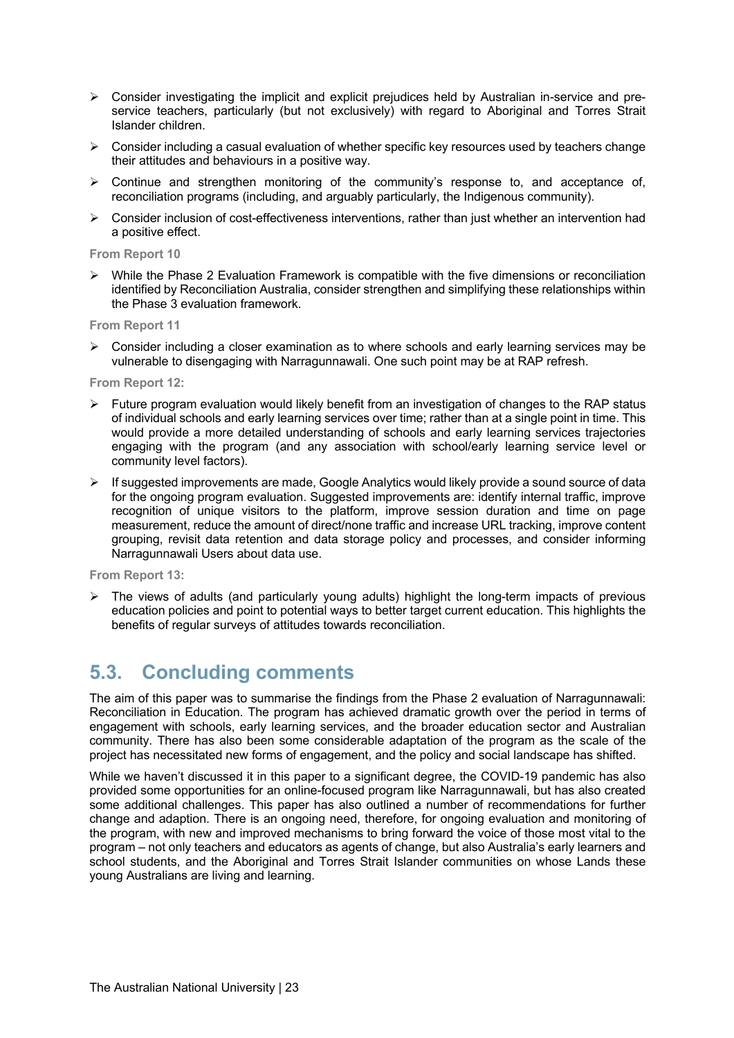- $\triangleright$  Consider investigating the implicit and explicit prejudices held by Australian in-service and preservice teachers, particularly (but not exclusively) with regard to Aboriginal and Torres Strait Islander children.
- $\triangleright$  Consider including a casual evaluation of whether specific key resources used by teachers change their attitudes and behaviours in a positive way.
- $\triangleright$  Continue and strengthen monitoring of the community's response to, and acceptance of, reconciliation programs (including, and arguably particularly, the Indigenous community).
- $\triangleright$  Consider inclusion of cost-effectiveness interventions, rather than just whether an intervention had a positive effect.

#### **From Report 10**

 $\triangleright$  While the Phase 2 Evaluation Framework is compatible with the five dimensions or reconciliation identified by Reconciliation Australia, consider strengthen and simplifying these relationships within the Phase 3 evaluation framework.

#### **From Report 11**

 $\triangleright$  Consider including a closer examination as to where schools and early learning services may be vulnerable to disengaging with Narragunnawali. One such point may be at RAP refresh.

#### **From Report 12:**

- $\triangleright$  Future program evaluation would likely benefit from an investigation of changes to the RAP status of individual schools and early learning services over time; rather than at a single point in time. This would provide a more detailed understanding of schools and early learning services trajectories engaging with the program (and any association with school/early learning service level or community level factors).
- $\triangleright$  If suggested improvements are made, Google Analytics would likely provide a sound source of data for the ongoing program evaluation. Suggested improvements are: identify internal traffic, improve recognition of unique visitors to the platform, improve session duration and time on page measurement, reduce the amount of direct/none traffic and increase URL tracking, improve content grouping, revisit data retention and data storage policy and processes, and consider informing Narragunnawali Users about data use.

#### **From Report 13:**

 $\triangleright$  The views of adults (and particularly young adults) highlight the long-term impacts of previous education policies and point to potential ways to better target current education. This highlights the benefits of regular surveys of attitudes towards reconciliation.

### **5.3. Concluding comments**

The aim of this paper was to summarise the findings from the Phase 2 evaluation of Narragunnawali: Reconciliation in Education. The program has achieved dramatic growth over the period in terms of engagement with schools, early learning services, and the broader education sector and Australian community. There has also been some considerable adaptation of the program as the scale of the project has necessitated new forms of engagement, and the policy and social landscape has shifted.

While we haven't discussed it in this paper to a significant degree, the COVID-19 pandemic has also provided some opportunities for an online-focused program like Narragunnawali, but has also created some additional challenges. This paper has also outlined a number of recommendations for further change and adaption. There is an ongoing need, therefore, for ongoing evaluation and monitoring of the program, with new and improved mechanisms to bring forward the voice of those most vital to the program – not only teachers and educators as agents of change, but also Australia's early learners and school students, and the Aboriginal and Torres Strait Islander communities on whose Lands these young Australians are living and learning.